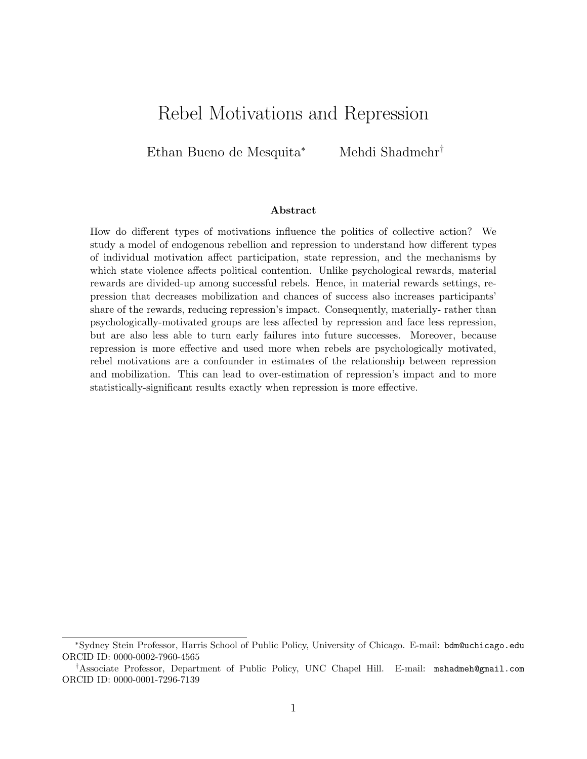# Rebel Motivations and Repression

Ethan Bueno de Mesquita<sup>∗</sup> Mehdi Shadmehr†

#### Abstract

How do different types of motivations influence the politics of collective action? We study a model of endogenous rebellion and repression to understand how different types of individual motivation affect participation, state repression, and the mechanisms by which state violence affects political contention. Unlike psychological rewards, material rewards are divided-up among successful rebels. Hence, in material rewards settings, repression that decreases mobilization and chances of success also increases participants' share of the rewards, reducing repression's impact. Consequently, materially- rather than psychologically-motivated groups are less affected by repression and face less repression, but are also less able to turn early failures into future successes. Moreover, because repression is more effective and used more when rebels are psychologically motivated, rebel motivations are a confounder in estimates of the relationship between repression and mobilization. This can lead to over-estimation of repression's impact and to more statistically-significant results exactly when repression is more effective.

<sup>∗</sup>Sydney Stein Professor, Harris School of Public Policy, University of Chicago. E-mail: bdm@uchicago.edu ORCID ID: 0000-0002-7960-4565

<sup>†</sup>Associate Professor, Department of Public Policy, UNC Chapel Hill. E-mail: mshadmeh@gmail.com ORCID ID: 0000-0001-7296-7139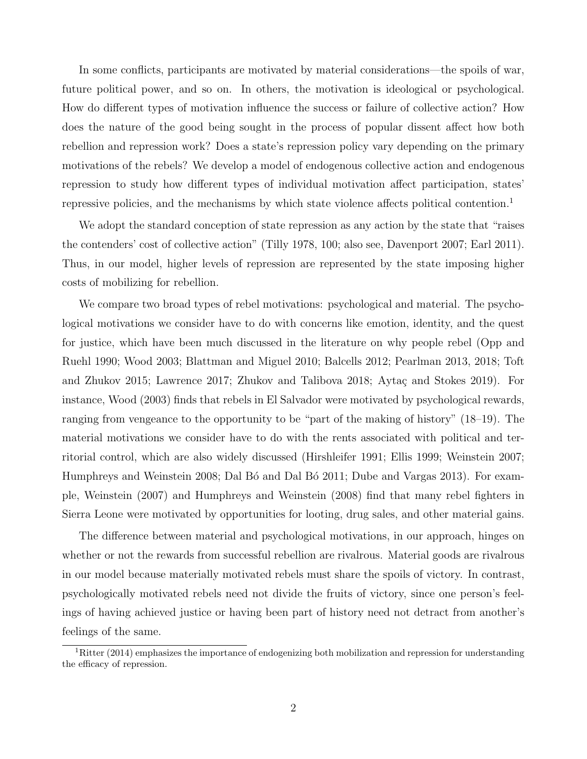In some conflicts, participants are motivated by material considerations—the spoils of war, future political power, and so on. In others, the motivation is ideological or psychological. How do different types of motivation influence the success or failure of collective action? How does the nature of the good being sought in the process of popular dissent affect how both rebellion and repression work? Does a state's repression policy vary depending on the primary motivations of the rebels? We develop a model of endogenous collective action and endogenous repression to study how different types of individual motivation affect participation, states' repressive policies, and the mechanisms by which state violence affects political contention.<sup>1</sup>

We adopt the standard conception of state repression as any action by the state that "raises the contenders' cost of collective action" (Tilly 1978, 100; also see, Davenport 2007; Earl 2011). Thus, in our model, higher levels of repression are represented by the state imposing higher costs of mobilizing for rebellion.

We compare two broad types of rebel motivations: psychological and material. The psychological motivations we consider have to do with concerns like emotion, identity, and the quest for justice, which have been much discussed in the literature on why people rebel (Opp and Ruehl 1990; Wood 2003; Blattman and Miguel 2010; Balcells 2012; Pearlman 2013, 2018; Toft and Zhukov 2015; Lawrence 2017; Zhukov and Talibova 2018; Aytaç and Stokes 2019). For instance, Wood (2003) finds that rebels in El Salvador were motivated by psychological rewards, ranging from vengeance to the opportunity to be "part of the making of history" (18–19). The material motivations we consider have to do with the rents associated with political and territorial control, which are also widely discussed (Hirshleifer 1991; Ellis 1999; Weinstein 2007; Humphreys and Weinstein 2008; Dal Bó and Dal Bó 2011; Dube and Vargas 2013). For example, Weinstein (2007) and Humphreys and Weinstein (2008) find that many rebel fighters in Sierra Leone were motivated by opportunities for looting, drug sales, and other material gains.

The difference between material and psychological motivations, in our approach, hinges on whether or not the rewards from successful rebellion are rivalrous. Material goods are rivalrous in our model because materially motivated rebels must share the spoils of victory. In contrast, psychologically motivated rebels need not divide the fruits of victory, since one person's feelings of having achieved justice or having been part of history need not detract from another's feelings of the same.

 ${}^{1}$ Ritter (2014) emphasizes the importance of endogenizing both mobilization and repression for understanding the efficacy of repression.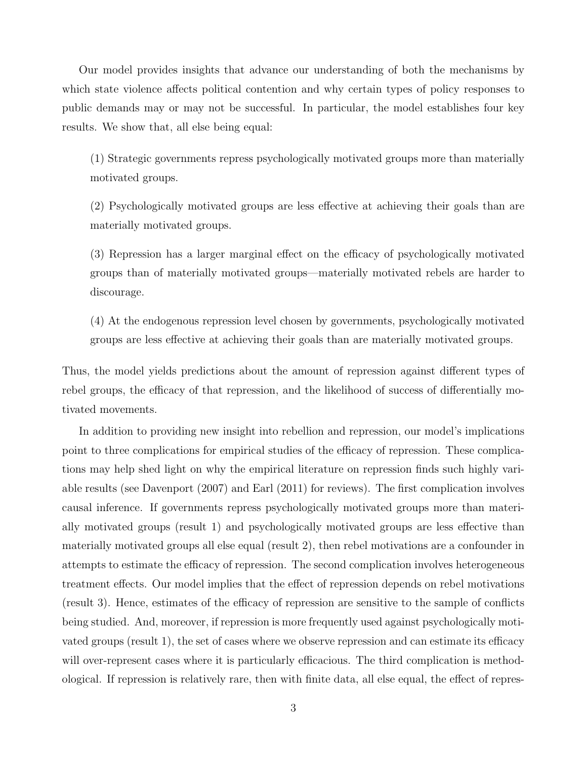Our model provides insights that advance our understanding of both the mechanisms by which state violence affects political contention and why certain types of policy responses to public demands may or may not be successful. In particular, the model establishes four key results. We show that, all else being equal:

(1) Strategic governments repress psychologically motivated groups more than materially motivated groups.

(2) Psychologically motivated groups are less effective at achieving their goals than are materially motivated groups.

(3) Repression has a larger marginal effect on the efficacy of psychologically motivated groups than of materially motivated groups—materially motivated rebels are harder to discourage.

(4) At the endogenous repression level chosen by governments, psychologically motivated groups are less effective at achieving their goals than are materially motivated groups.

Thus, the model yields predictions about the amount of repression against different types of rebel groups, the efficacy of that repression, and the likelihood of success of differentially motivated movements.

In addition to providing new insight into rebellion and repression, our model's implications point to three complications for empirical studies of the efficacy of repression. These complications may help shed light on why the empirical literature on repression finds such highly variable results (see Davenport (2007) and Earl (2011) for reviews). The first complication involves causal inference. If governments repress psychologically motivated groups more than materially motivated groups (result 1) and psychologically motivated groups are less effective than materially motivated groups all else equal (result 2), then rebel motivations are a confounder in attempts to estimate the efficacy of repression. The second complication involves heterogeneous treatment effects. Our model implies that the effect of repression depends on rebel motivations (result 3). Hence, estimates of the efficacy of repression are sensitive to the sample of conflicts being studied. And, moreover, if repression is more frequently used against psychologically motivated groups (result 1), the set of cases where we observe repression and can estimate its efficacy will over-represent cases where it is particularly efficacious. The third complication is methodological. If repression is relatively rare, then with finite data, all else equal, the effect of repres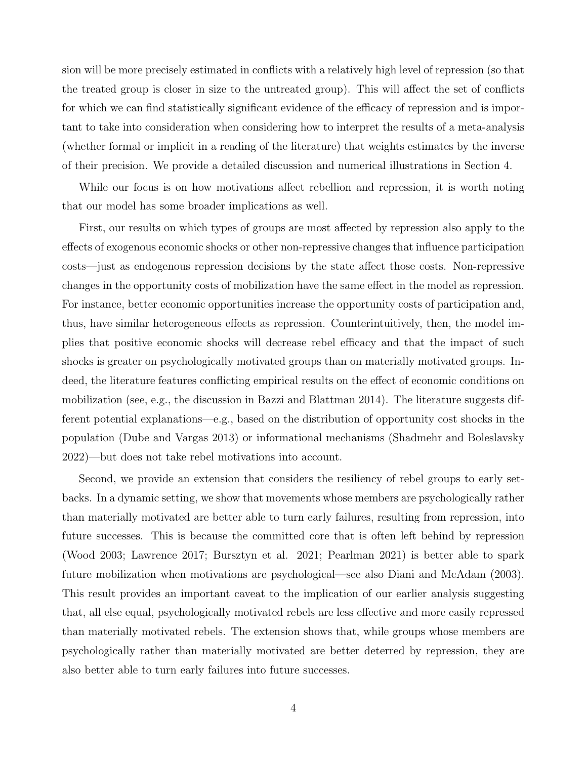sion will be more precisely estimated in conflicts with a relatively high level of repression (so that the treated group is closer in size to the untreated group). This will affect the set of conflicts for which we can find statistically significant evidence of the efficacy of repression and is important to take into consideration when considering how to interpret the results of a meta-analysis (whether formal or implicit in a reading of the literature) that weights estimates by the inverse of their precision. We provide a detailed discussion and numerical illustrations in Section 4.

While our focus is on how motivations affect rebellion and repression, it is worth noting that our model has some broader implications as well.

First, our results on which types of groups are most affected by repression also apply to the effects of exogenous economic shocks or other non-repressive changes that influence participation costs—just as endogenous repression decisions by the state affect those costs. Non-repressive changes in the opportunity costs of mobilization have the same effect in the model as repression. For instance, better economic opportunities increase the opportunity costs of participation and, thus, have similar heterogeneous effects as repression. Counterintuitively, then, the model implies that positive economic shocks will decrease rebel efficacy and that the impact of such shocks is greater on psychologically motivated groups than on materially motivated groups. Indeed, the literature features conflicting empirical results on the effect of economic conditions on mobilization (see, e.g., the discussion in Bazzi and Blattman 2014). The literature suggests different potential explanations—e.g., based on the distribution of opportunity cost shocks in the population (Dube and Vargas 2013) or informational mechanisms (Shadmehr and Boleslavsky 2022)—but does not take rebel motivations into account.

Second, we provide an extension that considers the resiliency of rebel groups to early setbacks. In a dynamic setting, we show that movements whose members are psychologically rather than materially motivated are better able to turn early failures, resulting from repression, into future successes. This is because the committed core that is often left behind by repression (Wood 2003; Lawrence 2017; Bursztyn et al. 2021; Pearlman 2021) is better able to spark future mobilization when motivations are psychological—see also Diani and McAdam (2003). This result provides an important caveat to the implication of our earlier analysis suggesting that, all else equal, psychologically motivated rebels are less effective and more easily repressed than materially motivated rebels. The extension shows that, while groups whose members are psychologically rather than materially motivated are better deterred by repression, they are also better able to turn early failures into future successes.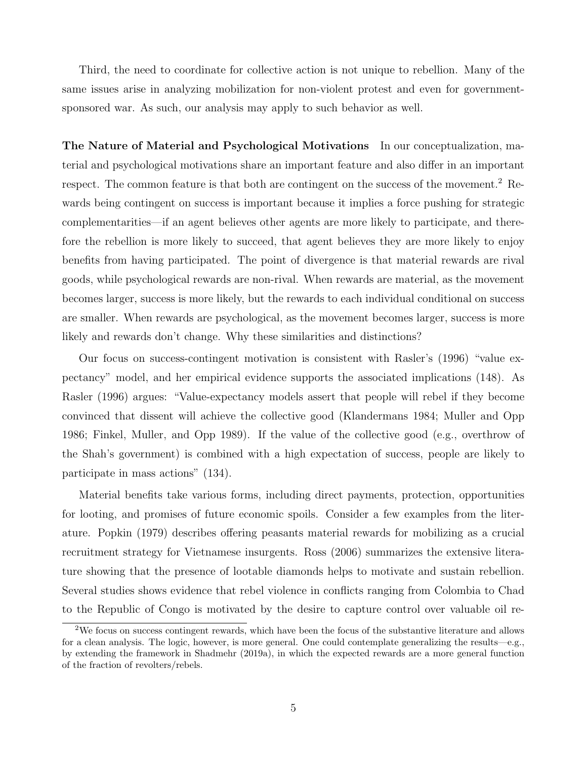Third, the need to coordinate for collective action is not unique to rebellion. Many of the same issues arise in analyzing mobilization for non-violent protest and even for governmentsponsored war. As such, our analysis may apply to such behavior as well.

The Nature of Material and Psychological Motivations In our conceptualization, material and psychological motivations share an important feature and also differ in an important respect. The common feature is that both are contingent on the success of the movement.<sup>2</sup> Rewards being contingent on success is important because it implies a force pushing for strategic complementarities—if an agent believes other agents are more likely to participate, and therefore the rebellion is more likely to succeed, that agent believes they are more likely to enjoy benefits from having participated. The point of divergence is that material rewards are rival goods, while psychological rewards are non-rival. When rewards are material, as the movement becomes larger, success is more likely, but the rewards to each individual conditional on success are smaller. When rewards are psychological, as the movement becomes larger, success is more likely and rewards don't change. Why these similarities and distinctions?

Our focus on success-contingent motivation is consistent with Rasler's (1996) "value expectancy" model, and her empirical evidence supports the associated implications (148). As Rasler (1996) argues: "Value-expectancy models assert that people will rebel if they become convinced that dissent will achieve the collective good (Klandermans 1984; Muller and Opp 1986; Finkel, Muller, and Opp 1989). If the value of the collective good (e.g., overthrow of the Shah's government) is combined with a high expectation of success, people are likely to participate in mass actions" (134).

Material benefits take various forms, including direct payments, protection, opportunities for looting, and promises of future economic spoils. Consider a few examples from the literature. Popkin (1979) describes offering peasants material rewards for mobilizing as a crucial recruitment strategy for Vietnamese insurgents. Ross (2006) summarizes the extensive literature showing that the presence of lootable diamonds helps to motivate and sustain rebellion. Several studies shows evidence that rebel violence in conflicts ranging from Colombia to Chad to the Republic of Congo is motivated by the desire to capture control over valuable oil re-

<sup>2</sup>We focus on success contingent rewards, which have been the focus of the substantive literature and allows for a clean analysis. The logic, however, is more general. One could contemplate generalizing the results—e.g., by extending the framework in Shadmehr (2019a), in which the expected rewards are a more general function of the fraction of revolters/rebels.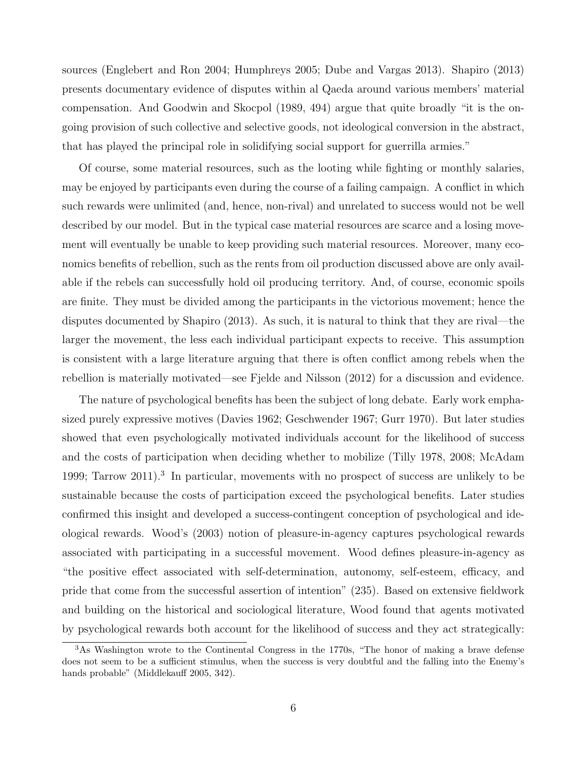sources (Englebert and Ron 2004; Humphreys 2005; Dube and Vargas 2013). Shapiro (2013) presents documentary evidence of disputes within al Qaeda around various members' material compensation. And Goodwin and Skocpol (1989, 494) argue that quite broadly "it is the ongoing provision of such collective and selective goods, not ideological conversion in the abstract, that has played the principal role in solidifying social support for guerrilla armies."

Of course, some material resources, such as the looting while fighting or monthly salaries, may be enjoyed by participants even during the course of a failing campaign. A conflict in which such rewards were unlimited (and, hence, non-rival) and unrelated to success would not be well described by our model. But in the typical case material resources are scarce and a losing movement will eventually be unable to keep providing such material resources. Moreover, many economics benefits of rebellion, such as the rents from oil production discussed above are only available if the rebels can successfully hold oil producing territory. And, of course, economic spoils are finite. They must be divided among the participants in the victorious movement; hence the disputes documented by Shapiro (2013). As such, it is natural to think that they are rival—the larger the movement, the less each individual participant expects to receive. This assumption is consistent with a large literature arguing that there is often conflict among rebels when the rebellion is materially motivated—see Fjelde and Nilsson (2012) for a discussion and evidence.

The nature of psychological benefits has been the subject of long debate. Early work emphasized purely expressive motives (Davies 1962; Geschwender 1967; Gurr 1970). But later studies showed that even psychologically motivated individuals account for the likelihood of success and the costs of participation when deciding whether to mobilize (Tilly 1978, 2008; McAdam 1999; Tarrow 2011).<sup>3</sup> In particular, movements with no prospect of success are unlikely to be sustainable because the costs of participation exceed the psychological benefits. Later studies confirmed this insight and developed a success-contingent conception of psychological and ideological rewards. Wood's (2003) notion of pleasure-in-agency captures psychological rewards associated with participating in a successful movement. Wood defines pleasure-in-agency as "the positive effect associated with self-determination, autonomy, self-esteem, efficacy, and pride that come from the successful assertion of intention" (235). Based on extensive fieldwork and building on the historical and sociological literature, Wood found that agents motivated by psychological rewards both account for the likelihood of success and they act strategically:

<sup>&</sup>lt;sup>3</sup>As Washington wrote to the Continental Congress in the 1770s, "The honor of making a brave defense does not seem to be a sufficient stimulus, when the success is very doubtful and the falling into the Enemy's hands probable" (Middlekauff 2005, 342).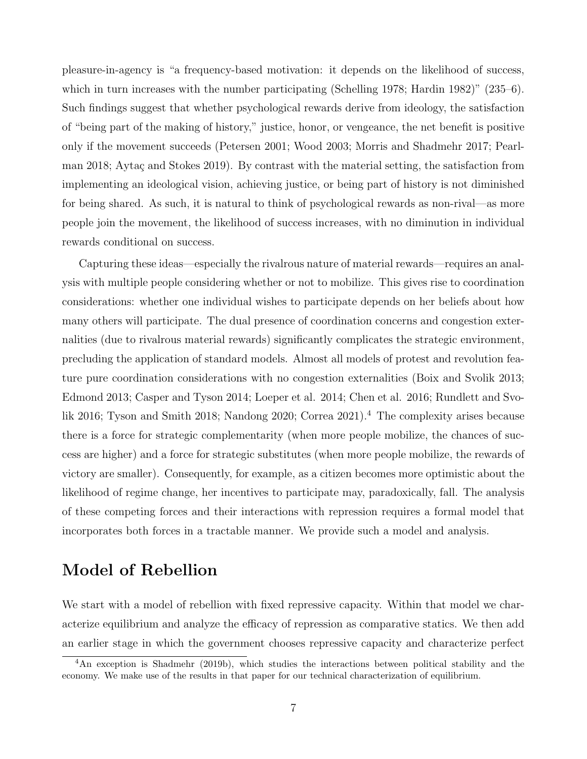pleasure-in-agency is "a frequency-based motivation: it depends on the likelihood of success, which in turn increases with the number participating (Schelling 1978; Hardin 1982)" (235–6). Such findings suggest that whether psychological rewards derive from ideology, the satisfaction of "being part of the making of history," justice, honor, or vengeance, the net benefit is positive only if the movement succeeds (Petersen 2001; Wood 2003; Morris and Shadmehr 2017; Pearlman 2018; Aytaç and Stokes 2019). By contrast with the material setting, the satisfaction from implementing an ideological vision, achieving justice, or being part of history is not diminished for being shared. As such, it is natural to think of psychological rewards as non-rival—as more people join the movement, the likelihood of success increases, with no diminution in individual rewards conditional on success.

Capturing these ideas—especially the rivalrous nature of material rewards—requires an analysis with multiple people considering whether or not to mobilize. This gives rise to coordination considerations: whether one individual wishes to participate depends on her beliefs about how many others will participate. The dual presence of coordination concerns and congestion externalities (due to rivalrous material rewards) significantly complicates the strategic environment, precluding the application of standard models. Almost all models of protest and revolution feature pure coordination considerations with no congestion externalities (Boix and Svolik 2013; Edmond 2013; Casper and Tyson 2014; Loeper et al. 2014; Chen et al. 2016; Rundlett and Svolik 2016; Tyson and Smith 2018; Nandong 2020; Correa 2021).<sup>4</sup> The complexity arises because there is a force for strategic complementarity (when more people mobilize, the chances of success are higher) and a force for strategic substitutes (when more people mobilize, the rewards of victory are smaller). Consequently, for example, as a citizen becomes more optimistic about the likelihood of regime change, her incentives to participate may, paradoxically, fall. The analysis of these competing forces and their interactions with repression requires a formal model that incorporates both forces in a tractable manner. We provide such a model and analysis.

# Model of Rebellion

We start with a model of rebellion with fixed repressive capacity. Within that model we characterize equilibrium and analyze the efficacy of repression as comparative statics. We then add an earlier stage in which the government chooses repressive capacity and characterize perfect

<sup>&</sup>lt;sup>4</sup>An exception is Shadmehr (2019b), which studies the interactions between political stability and the economy. We make use of the results in that paper for our technical characterization of equilibrium.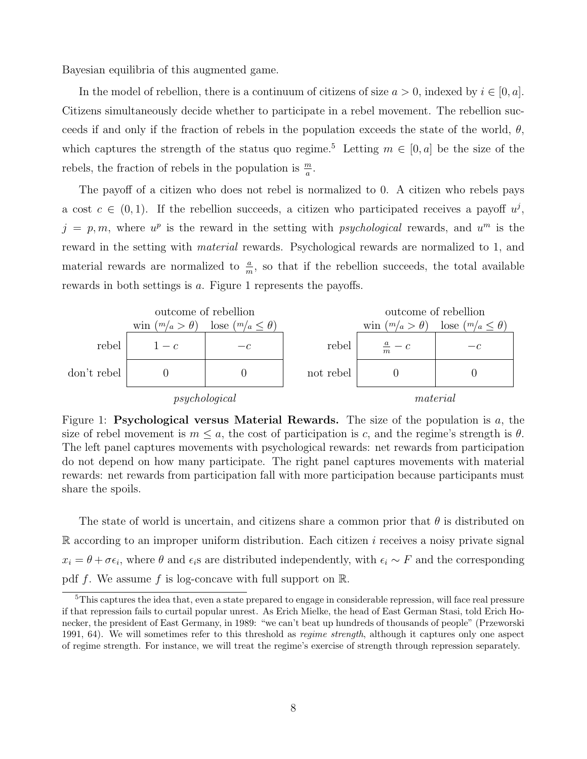Bayesian equilibria of this augmented game.

In the model of rebellion, there is a continuum of citizens of size  $a > 0$ , indexed by  $i \in [0, a]$ . Citizens simultaneously decide whether to participate in a rebel movement. The rebellion succeeds if and only if the fraction of rebels in the population exceeds the state of the world,  $\theta$ , which captures the strength of the status quo regime.<sup>5</sup> Letting  $m \in [0, a]$  be the size of the rebels, the fraction of rebels in the population is  $\frac{m}{a}$ .

The payoff of a citizen who does not rebel is normalized to 0. A citizen who rebels pays a cost  $c \in (0,1)$ . If the rebellion succeeds, a citizen who participated receives a payoff  $u^j$ ,  $j = p, m$ , where  $u^p$  is the reward in the setting with *psychological* rewards, and  $u^m$  is the reward in the setting with material rewards. Psychological rewards are normalized to 1, and material rewards are normalized to  $\frac{a}{m}$ , so that if the rebellion succeeds, the total available rewards in both settings is a. Figure 1 represents the payoffs.



Figure 1: Psychological versus Material Rewards. The size of the population is  $a$ , the size of rebel movement is  $m \leq a$ , the cost of participation is c, and the regime's strength is  $\theta$ . The left panel captures movements with psychological rewards: net rewards from participation do not depend on how many participate. The right panel captures movements with material rewards: net rewards from participation fall with more participation because participants must share the spoils.

The state of world is uncertain, and citizens share a common prior that  $\theta$  is distributed on  $\mathbb R$  according to an improper uniform distribution. Each citizen i receives a noisy private signal  $x_i = \theta + \sigma \epsilon_i$ , where  $\theta$  and  $\epsilon_i$ s are distributed independently, with  $\epsilon_i \sim F$  and the corresponding pdf f. We assume f is log-concave with full support on  $\mathbb{R}$ .

<sup>&</sup>lt;sup>5</sup>This captures the idea that, even a state prepared to engage in considerable repression, will face real pressure if that repression fails to curtail popular unrest. As Erich Mielke, the head of East German Stasi, told Erich Honecker, the president of East Germany, in 1989: "we can't beat up hundreds of thousands of people" (Przeworski 1991, 64). We will sometimes refer to this threshold as *regime strength*, although it captures only one aspect of regime strength. For instance, we will treat the regime's exercise of strength through repression separately.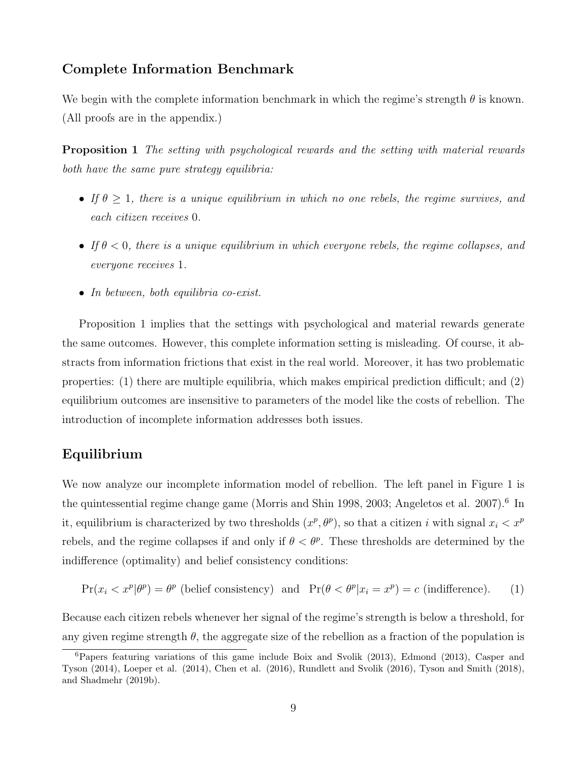## Complete Information Benchmark

We begin with the complete information benchmark in which the regime's strength  $\theta$  is known. (All proofs are in the appendix.)

Proposition 1 The setting with psychological rewards and the setting with material rewards both have the same pure strategy equilibria:

- If  $\theta \geq 1$ , there is a unique equilibrium in which no one rebels, the regime survives, and each citizen receives 0.
- If  $\theta < 0$ , there is a unique equilibrium in which everyone rebels, the regime collapses, and everyone receives 1.
- In between, both equilibria co-exist.

Proposition 1 implies that the settings with psychological and material rewards generate the same outcomes. However, this complete information setting is misleading. Of course, it abstracts from information frictions that exist in the real world. Moreover, it has two problematic properties: (1) there are multiple equilibria, which makes empirical prediction difficult; and (2) equilibrium outcomes are insensitive to parameters of the model like the costs of rebellion. The introduction of incomplete information addresses both issues.

## Equilibrium

We now analyze our incomplete information model of rebellion. The left panel in Figure 1 is the quintessential regime change game (Morris and Shin 1998, 2003; Angeletos et al. 2007).<sup>6</sup> In it, equilibrium is characterized by two thresholds  $(x^p, \theta^p)$ , so that a citizen i with signal  $x_i < x^p$ rebels, and the regime collapses if and only if  $\theta < \theta^p$ . These thresholds are determined by the indifference (optimality) and belief consistency conditions:

$$
\Pr(x_i < x^p | \theta^p) = \theta^p \text{ (belief consistency)} \quad \text{and} \quad \Pr(\theta < \theta^p | x_i = x^p) = c \text{ (indifference)}. \tag{1}
$$

Because each citizen rebels whenever her signal of the regime's strength is below a threshold, for any given regime strength  $\theta$ , the aggregate size of the rebellion as a fraction of the population is

 ${}^{6}$ Papers featuring variations of this game include Boix and Svolik (2013), Edmond (2013), Casper and Tyson (2014), Loeper et al. (2014), Chen et al. (2016), Rundlett and Svolik (2016), Tyson and Smith (2018), and Shadmehr (2019b).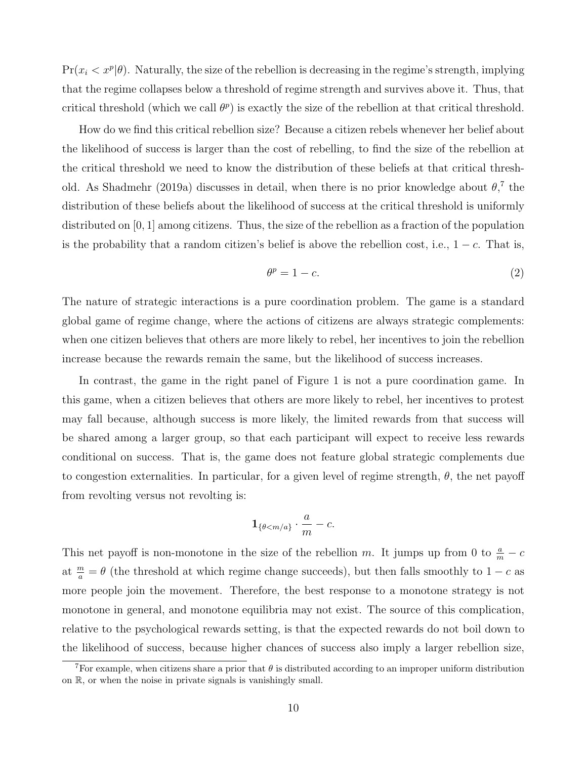$Pr(x_i < x^p | \theta)$ . Naturally, the size of the rebellion is decreasing in the regime's strength, implying that the regime collapses below a threshold of regime strength and survives above it. Thus, that critical threshold (which we call  $\theta^p$ ) is exactly the size of the rebellion at that critical threshold.

How do we find this critical rebellion size? Because a citizen rebels whenever her belief about the likelihood of success is larger than the cost of rebelling, to find the size of the rebellion at the critical threshold we need to know the distribution of these beliefs at that critical threshold. As Shadmehr (2019a) discusses in detail, when there is no prior knowledge about  $\theta$ <sup>7</sup>, the distribution of these beliefs about the likelihood of success at the critical threshold is uniformly distributed on [0, 1] among citizens. Thus, the size of the rebellion as a fraction of the population is the probability that a random citizen's belief is above the rebellion cost, i.e.,  $1 - c$ . That is,

$$
\theta^p = 1 - c.\tag{2}
$$

The nature of strategic interactions is a pure coordination problem. The game is a standard global game of regime change, where the actions of citizens are always strategic complements: when one citizen believes that others are more likely to rebel, her incentives to join the rebellion increase because the rewards remain the same, but the likelihood of success increases.

In contrast, the game in the right panel of Figure 1 is not a pure coordination game. In this game, when a citizen believes that others are more likely to rebel, her incentives to protest may fall because, although success is more likely, the limited rewards from that success will be shared among a larger group, so that each participant will expect to receive less rewards conditional on success. That is, the game does not feature global strategic complements due to congestion externalities. In particular, for a given level of regime strength,  $\theta$ , the net payoff from revolting versus not revolting is:

$$
\mathbf{1}_{\{\theta < m/a\}} \cdot \frac{a}{m} - c.
$$

This net payoff is non-monotone in the size of the rebellion m. It jumps up from 0 to  $\frac{a}{m} - c$ at  $\frac{m}{a} = \theta$  (the threshold at which regime change succeeds), but then falls smoothly to  $1 - c$  as more people join the movement. Therefore, the best response to a monotone strategy is not monotone in general, and monotone equilibria may not exist. The source of this complication, relative to the psychological rewards setting, is that the expected rewards do not boil down to the likelihood of success, because higher chances of success also imply a larger rebellion size,

<sup>&</sup>lt;sup>7</sup>For example, when citizens share a prior that  $\theta$  is distributed according to an improper uniform distribution on R, or when the noise in private signals is vanishingly small.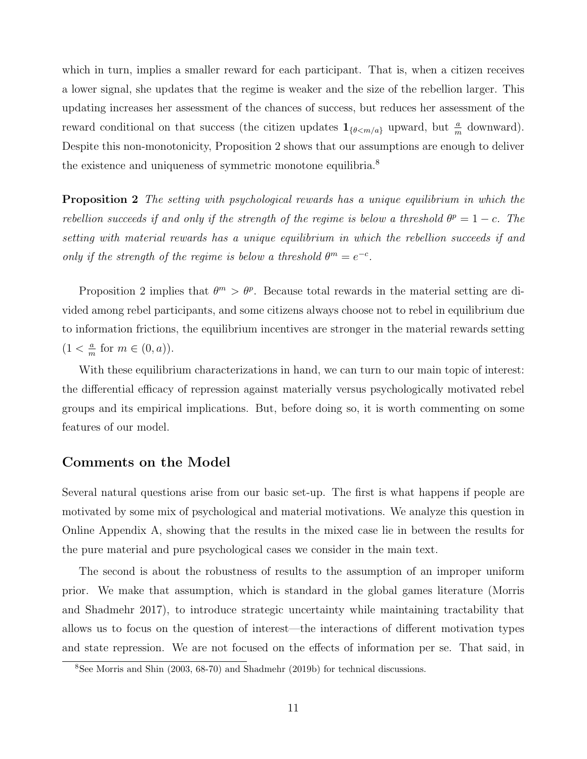which in turn, implies a smaller reward for each participant. That is, when a citizen receives a lower signal, she updates that the regime is weaker and the size of the rebellion larger. This updating increases her assessment of the chances of success, but reduces her assessment of the reward conditional on that success (the citizen updates  $1_{\{\theta \le m/a\}}$  upward, but  $\frac{a}{m}$  downward). Despite this non-monotonicity, Proposition 2 shows that our assumptions are enough to deliver the existence and uniqueness of symmetric monotone equilibria.<sup>8</sup>

**Proposition 2** The setting with psychological rewards has a unique equilibrium in which the rebellion succeeds if and only if the strength of the regime is below a threshold  $\theta^p = 1 - c$ . The setting with material rewards has a unique equilibrium in which the rebellion succeeds if and only if the strength of the regime is below a threshold  $\theta^m = e^{-c}$ .

Proposition 2 implies that  $\theta^m > \theta^p$ . Because total rewards in the material setting are divided among rebel participants, and some citizens always choose not to rebel in equilibrium due to information frictions, the equilibrium incentives are stronger in the material rewards setting  $(1 < \frac{a}{n})$  $\frac{a}{m}$  for  $m \in (0, a)$ .

With these equilibrium characterizations in hand, we can turn to our main topic of interest: the differential efficacy of repression against materially versus psychologically motivated rebel groups and its empirical implications. But, before doing so, it is worth commenting on some features of our model.

## Comments on the Model

Several natural questions arise from our basic set-up. The first is what happens if people are motivated by some mix of psychological and material motivations. We analyze this question in Online Appendix A, showing that the results in the mixed case lie in between the results for the pure material and pure psychological cases we consider in the main text.

The second is about the robustness of results to the assumption of an improper uniform prior. We make that assumption, which is standard in the global games literature (Morris and Shadmehr 2017), to introduce strategic uncertainty while maintaining tractability that allows us to focus on the question of interest—the interactions of different motivation types and state repression. We are not focused on the effects of information per se. That said, in

<sup>8</sup>See Morris and Shin (2003, 68-70) and Shadmehr (2019b) for technical discussions.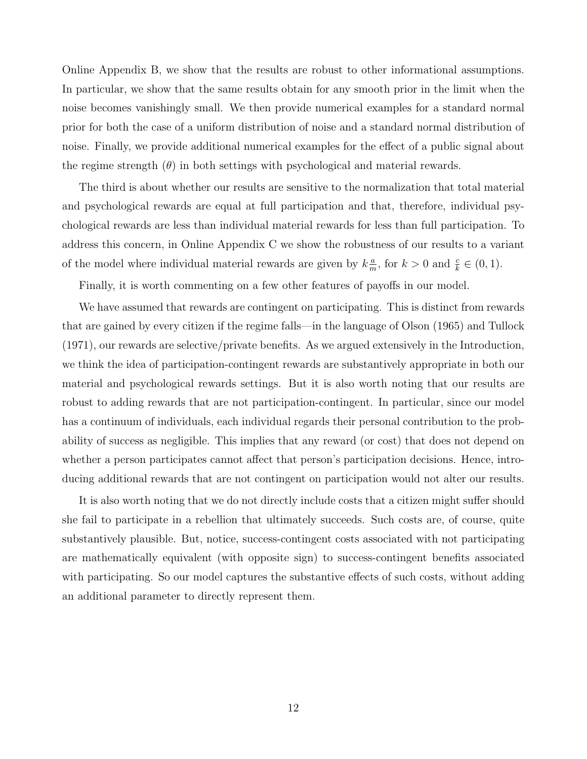Online Appendix B, we show that the results are robust to other informational assumptions. In particular, we show that the same results obtain for any smooth prior in the limit when the noise becomes vanishingly small. We then provide numerical examples for a standard normal prior for both the case of a uniform distribution of noise and a standard normal distribution of noise. Finally, we provide additional numerical examples for the effect of a public signal about the regime strength  $(\theta)$  in both settings with psychological and material rewards.

The third is about whether our results are sensitive to the normalization that total material and psychological rewards are equal at full participation and that, therefore, individual psychological rewards are less than individual material rewards for less than full participation. To address this concern, in Online Appendix C we show the robustness of our results to a variant of the model where individual material rewards are given by  $k_{m}^{\frac{a}{m}}$  $\frac{a}{m}$ , for  $k > 0$  and  $\frac{c}{k} \in (0, 1)$ .

Finally, it is worth commenting on a few other features of payoffs in our model.

We have assumed that rewards are contingent on participating. This is distinct from rewards that are gained by every citizen if the regime falls—in the language of Olson (1965) and Tullock (1971), our rewards are selective/private benefits. As we argued extensively in the Introduction, we think the idea of participation-contingent rewards are substantively appropriate in both our material and psychological rewards settings. But it is also worth noting that our results are robust to adding rewards that are not participation-contingent. In particular, since our model has a continuum of individuals, each individual regards their personal contribution to the probability of success as negligible. This implies that any reward (or cost) that does not depend on whether a person participates cannot affect that person's participation decisions. Hence, introducing additional rewards that are not contingent on participation would not alter our results.

It is also worth noting that we do not directly include costs that a citizen might suffer should she fail to participate in a rebellion that ultimately succeeds. Such costs are, of course, quite substantively plausible. But, notice, success-contingent costs associated with not participating are mathematically equivalent (with opposite sign) to success-contingent benefits associated with participating. So our model captures the substantive effects of such costs, without adding an additional parameter to directly represent them.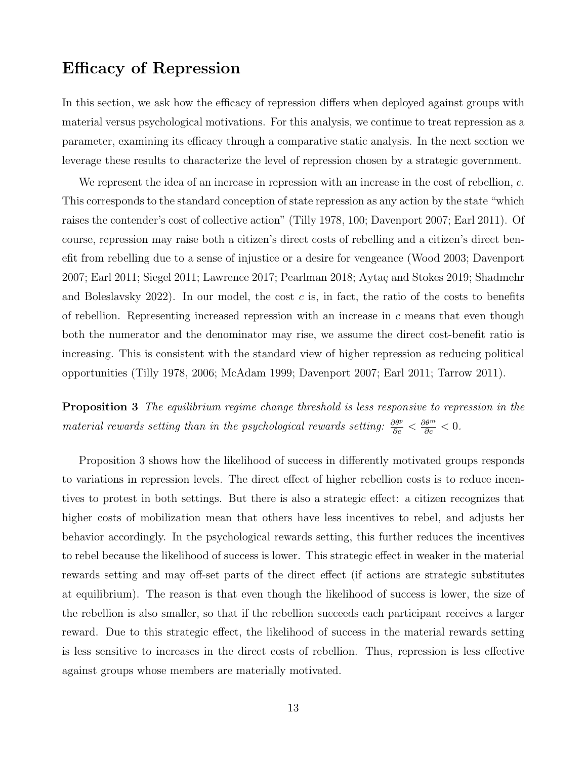# Efficacy of Repression

In this section, we ask how the efficacy of repression differs when deployed against groups with material versus psychological motivations. For this analysis, we continue to treat repression as a parameter, examining its efficacy through a comparative static analysis. In the next section we leverage these results to characterize the level of repression chosen by a strategic government.

We represent the idea of an increase in repression with an increase in the cost of rebellion, c. This corresponds to the standard conception of state repression as any action by the state "which raises the contender's cost of collective action" (Tilly 1978, 100; Davenport 2007; Earl 2011). Of course, repression may raise both a citizen's direct costs of rebelling and a citizen's direct benefit from rebelling due to a sense of injustice or a desire for vengeance (Wood 2003; Davenport 2007; Earl 2011; Siegel 2011; Lawrence 2017; Pearlman 2018; Aytaç and Stokes 2019; Shadmehr and Boleslavsky 2022). In our model, the cost  $c$  is, in fact, the ratio of the costs to benefits of rebellion. Representing increased repression with an increase in  $c$  means that even though both the numerator and the denominator may rise, we assume the direct cost-benefit ratio is increasing. This is consistent with the standard view of higher repression as reducing political opportunities (Tilly 1978, 2006; McAdam 1999; Davenport 2007; Earl 2011; Tarrow 2011).

**Proposition 3** The equilibrium regime change threshold is less responsive to repression in the material rewards setting than in the psychological rewards setting:  $\frac{\partial \theta^p}{\partial c} < \frac{\partial \theta^m}{\partial c} < 0$ .

Proposition 3 shows how the likelihood of success in differently motivated groups responds to variations in repression levels. The direct effect of higher rebellion costs is to reduce incentives to protest in both settings. But there is also a strategic effect: a citizen recognizes that higher costs of mobilization mean that others have less incentives to rebel, and adjusts her behavior accordingly. In the psychological rewards setting, this further reduces the incentives to rebel because the likelihood of success is lower. This strategic effect in weaker in the material rewards setting and may off-set parts of the direct effect (if actions are strategic substitutes at equilibrium). The reason is that even though the likelihood of success is lower, the size of the rebellion is also smaller, so that if the rebellion succeeds each participant receives a larger reward. Due to this strategic effect, the likelihood of success in the material rewards setting is less sensitive to increases in the direct costs of rebellion. Thus, repression is less effective against groups whose members are materially motivated.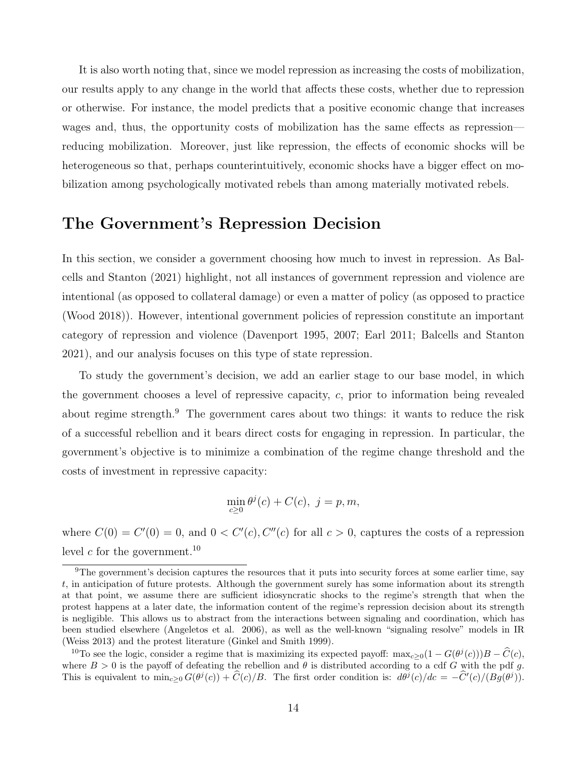It is also worth noting that, since we model repression as increasing the costs of mobilization, our results apply to any change in the world that affects these costs, whether due to repression or otherwise. For instance, the model predicts that a positive economic change that increases wages and, thus, the opportunity costs of mobilization has the same effects as repression reducing mobilization. Moreover, just like repression, the effects of economic shocks will be heterogeneous so that, perhaps counterintuitively, economic shocks have a bigger effect on mobilization among psychologically motivated rebels than among materially motivated rebels.

## The Government's Repression Decision

In this section, we consider a government choosing how much to invest in repression. As Balcells and Stanton (2021) highlight, not all instances of government repression and violence are intentional (as opposed to collateral damage) or even a matter of policy (as opposed to practice (Wood 2018)). However, intentional government policies of repression constitute an important category of repression and violence (Davenport 1995, 2007; Earl 2011; Balcells and Stanton 2021), and our analysis focuses on this type of state repression.

To study the government's decision, we add an earlier stage to our base model, in which the government chooses a level of repressive capacity, c, prior to information being revealed about regime strength.<sup>9</sup> The government cares about two things: it wants to reduce the risk of a successful rebellion and it bears direct costs for engaging in repression. In particular, the government's objective is to minimize a combination of the regime change threshold and the costs of investment in repressive capacity:

$$
\min_{c\geq 0} \theta^j(c) + C(c), \ j = p, m,
$$

where  $C(0) = C'(0) = 0$ , and  $0 < C'(c)$ ,  $C''(c)$  for all  $c > 0$ , captures the costs of a repression level  $c$  for the government.<sup>10</sup>

<sup>&</sup>lt;sup>9</sup>The government's decision captures the resources that it puts into security forces at some earlier time, say t, in anticipation of future protests. Although the government surely has some information about its strength at that point, we assume there are sufficient idiosyncratic shocks to the regime's strength that when the protest happens at a later date, the information content of the regime's repression decision about its strength is negligible. This allows us to abstract from the interactions between signaling and coordination, which has been studied elsewhere (Angeletos et al. 2006), as well as the well-known "signaling resolve" models in IR (Weiss 2013) and the protest literature (Ginkel and Smith 1999).

<sup>&</sup>lt;sup>10</sup>To see the logic, consider a regime that is maximizing its expected payoff:  $\max_{c\geq 0}(1-G(\theta^j(c)))B-\widehat{C}(c)$ , where  $B > 0$  is the payoff of defeating the rebellion and  $\theta$  is distributed according to a cdf G with the pdf g. This is equivalent to  $\min_{c\geq 0} G(\theta^j(c)) + \hat{C}(c)/B$ . The first order condition is:  $d\theta^j(c)/dc = -\hat{C}'(c)/(Bg(\theta^j))$ .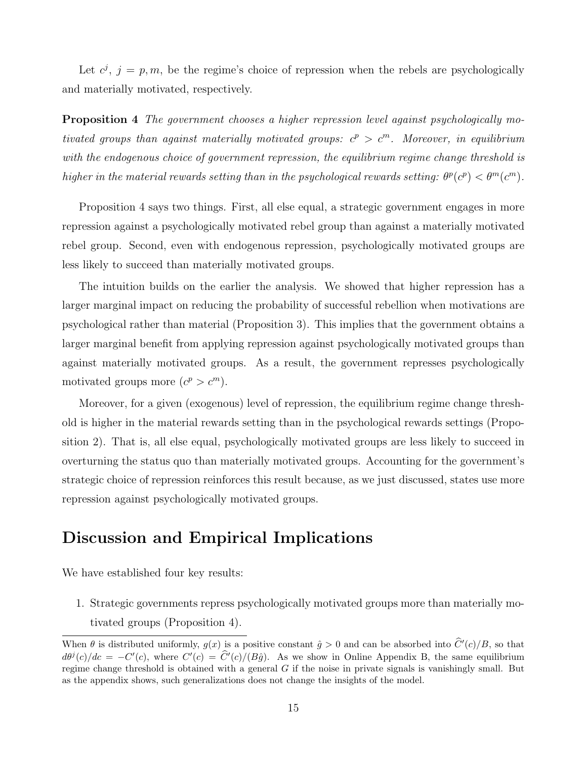Let  $c^j$ ,  $j = p, m$ , be the regime's choice of repression when the rebels are psychologically and materially motivated, respectively.

Proposition 4 The government chooses a higher repression level against psychologically motivated groups than against materially motivated groups:  $c^p > c^m$ . Moreover, in equilibrium with the endogenous choice of government repression, the equilibrium regime change threshold is higher in the material rewards setting than in the psychological rewards setting:  $\theta^p(c^p) < \theta^m(c^m)$ .

Proposition 4 says two things. First, all else equal, a strategic government engages in more repression against a psychologically motivated rebel group than against a materially motivated rebel group. Second, even with endogenous repression, psychologically motivated groups are less likely to succeed than materially motivated groups.

The intuition builds on the earlier the analysis. We showed that higher repression has a larger marginal impact on reducing the probability of successful rebellion when motivations are psychological rather than material (Proposition 3). This implies that the government obtains a larger marginal benefit from applying repression against psychologically motivated groups than against materially motivated groups. As a result, the government represses psychologically motivated groups more  $(c^p > c^m)$ .

Moreover, for a given (exogenous) level of repression, the equilibrium regime change threshold is higher in the material rewards setting than in the psychological rewards settings (Proposition 2). That is, all else equal, psychologically motivated groups are less likely to succeed in overturning the status quo than materially motivated groups. Accounting for the government's strategic choice of repression reinforces this result because, as we just discussed, states use more repression against psychologically motivated groups.

# Discussion and Empirical Implications

We have established four key results:

1. Strategic governments repress psychologically motivated groups more than materially motivated groups (Proposition 4).

When  $\theta$  is distributed uniformly,  $g(x)$  is a positive constant  $\hat{g} > 0$  and can be absorbed into  $\hat{C}'(c)/B$ , so that  $d\theta^{j}(c)/dc = -C'(c)$ , where  $C'(c) = \hat{C}'(c)/(B\hat{g})$ . As we show in Online Appendix B, the same equilibrium regime change threshold is obtained with a general  $G$  if the noise in private signals is vanishingly small. But as the appendix shows, such generalizations does not change the insights of the model.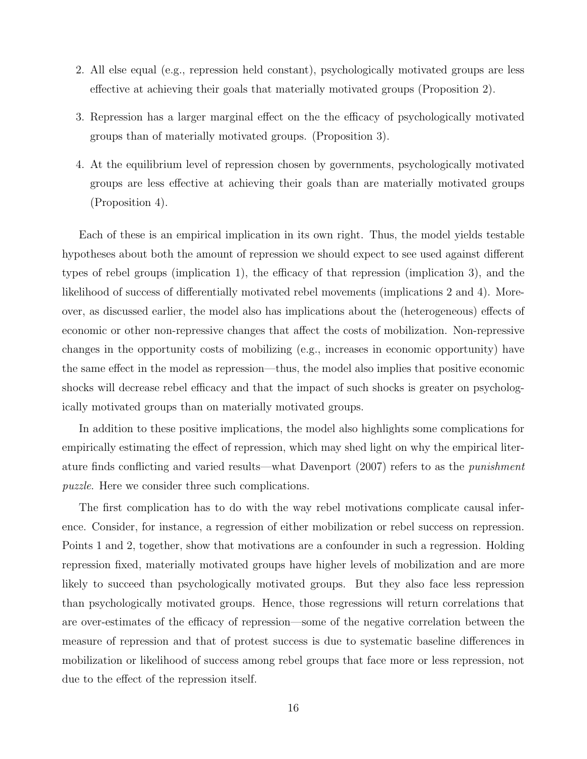- 2. All else equal (e.g., repression held constant), psychologically motivated groups are less effective at achieving their goals that materially motivated groups (Proposition 2).
- 3. Repression has a larger marginal effect on the the efficacy of psychologically motivated groups than of materially motivated groups. (Proposition 3).
- 4. At the equilibrium level of repression chosen by governments, psychologically motivated groups are less effective at achieving their goals than are materially motivated groups (Proposition 4).

Each of these is an empirical implication in its own right. Thus, the model yields testable hypotheses about both the amount of repression we should expect to see used against different types of rebel groups (implication 1), the efficacy of that repression (implication 3), and the likelihood of success of differentially motivated rebel movements (implications 2 and 4). Moreover, as discussed earlier, the model also has implications about the (heterogeneous) effects of economic or other non-repressive changes that affect the costs of mobilization. Non-repressive changes in the opportunity costs of mobilizing (e.g., increases in economic opportunity) have the same effect in the model as repression—thus, the model also implies that positive economic shocks will decrease rebel efficacy and that the impact of such shocks is greater on psychologically motivated groups than on materially motivated groups.

In addition to these positive implications, the model also highlights some complications for empirically estimating the effect of repression, which may shed light on why the empirical literature finds conflicting and varied results—what Davenport (2007) refers to as the punishment puzzle. Here we consider three such complications.

The first complication has to do with the way rebel motivations complicate causal inference. Consider, for instance, a regression of either mobilization or rebel success on repression. Points 1 and 2, together, show that motivations are a confounder in such a regression. Holding repression fixed, materially motivated groups have higher levels of mobilization and are more likely to succeed than psychologically motivated groups. But they also face less repression than psychologically motivated groups. Hence, those regressions will return correlations that are over-estimates of the efficacy of repression—some of the negative correlation between the measure of repression and that of protest success is due to systematic baseline differences in mobilization or likelihood of success among rebel groups that face more or less repression, not due to the effect of the repression itself.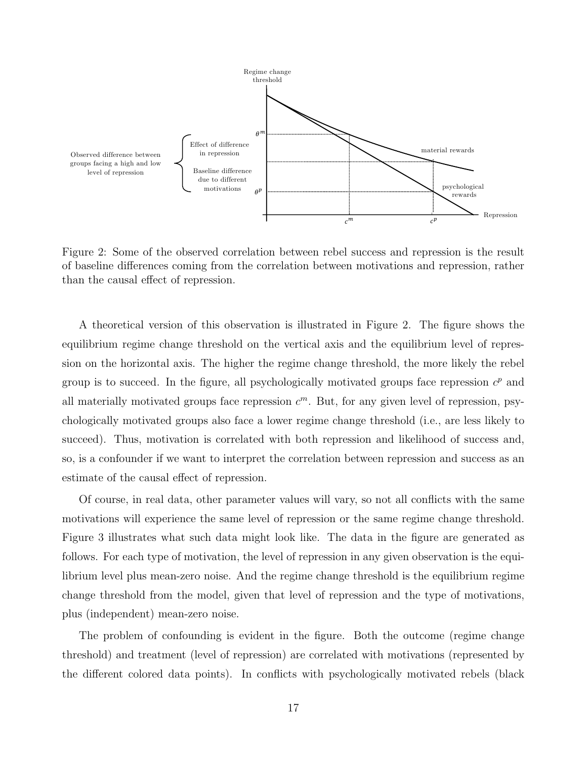

Figure 2: Some of the observed correlation between rebel success and repression is the result of baseline differences coming from the correlation between motivations and repression, rather than the causal effect of repression.

A theoretical version of this observation is illustrated in Figure 2. The figure shows the equilibrium regime change threshold on the vertical axis and the equilibrium level of repression on the horizontal axis. The higher the regime change threshold, the more likely the rebel group is to succeed. In the figure, all psychologically motivated groups face repression  $c^p$  and all materially motivated groups face repression  $c<sup>m</sup>$ . But, for any given level of repression, psychologically motivated groups also face a lower regime change threshold (i.e., are less likely to succeed). Thus, motivation is correlated with both repression and likelihood of success and, so, is a confounder if we want to interpret the correlation between repression and success as an estimate of the causal effect of repression.

Of course, in real data, other parameter values will vary, so not all conflicts with the same motivations will experience the same level of repression or the same regime change threshold. Figure 3 illustrates what such data might look like. The data in the figure are generated as follows. For each type of motivation, the level of repression in any given observation is the equilibrium level plus mean-zero noise. And the regime change threshold is the equilibrium regime change threshold from the model, given that level of repression and the type of motivations, plus (independent) mean-zero noise.

The problem of confounding is evident in the figure. Both the outcome (regime change threshold) and treatment (level of repression) are correlated with motivations (represented by the different colored data points). In conflicts with psychologically motivated rebels (black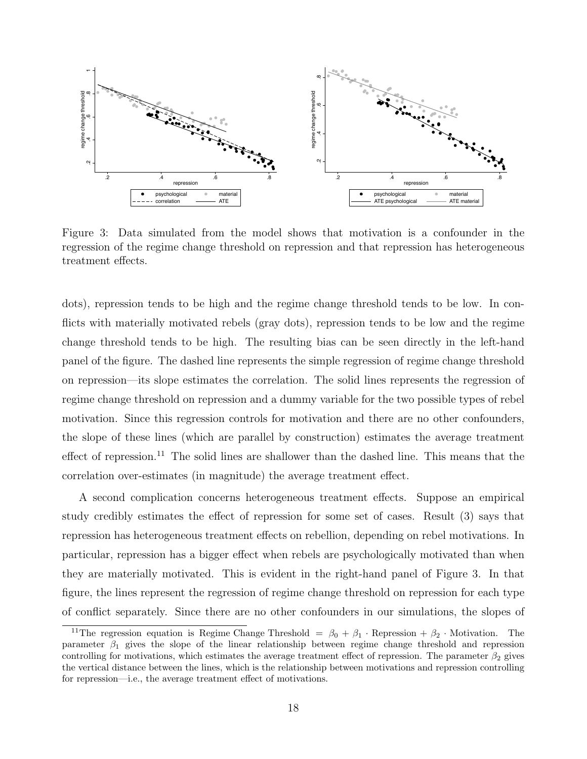

Figure 3: Data simulated from the model shows that motivation is a confounder in the regression of the regime change threshold on repression and that repression has heterogeneous treatment effects.

dots), repression tends to be high and the regime change threshold tends to be low. In conflicts with materially motivated rebels (gray dots), repression tends to be low and the regime change threshold tends to be high. The resulting bias can be seen directly in the left-hand panel of the figure. The dashed line represents the simple regression of regime change threshold on repression—its slope estimates the correlation. The solid lines represents the regression of regime change threshold on repression and a dummy variable for the two possible types of rebel motivation. Since this regression controls for motivation and there are no other confounders, the slope of these lines (which are parallel by construction) estimates the average treatment effect of repression.<sup>11</sup> The solid lines are shallower than the dashed line. This means that the correlation over-estimates (in magnitude) the average treatment effect.

A second complication concerns heterogeneous treatment effects. Suppose an empirical study credibly estimates the effect of repression for some set of cases. Result (3) says that repression has heterogeneous treatment effects on rebellion, depending on rebel motivations. In particular, repression has a bigger effect when rebels are psychologically motivated than when they are materially motivated. This is evident in the right-hand panel of Figure 3. In that figure, the lines represent the regression of regime change threshold on repression for each type of conflict separately. Since there are no other confounders in our simulations, the slopes of

<sup>&</sup>lt;sup>11</sup>The regression equation is Regime Change Threshold =  $\beta_0 + \beta_1 \cdot$  Repression +  $\beta_2 \cdot$  Motivation. The parameter  $\beta_1$  gives the slope of the linear relationship between regime change threshold and repression controlling for motivations, which estimates the average treatment effect of repression. The parameter  $\beta_2$  gives the vertical distance between the lines, which is the relationship between motivations and repression controlling for repression—i.e., the average treatment effect of motivations.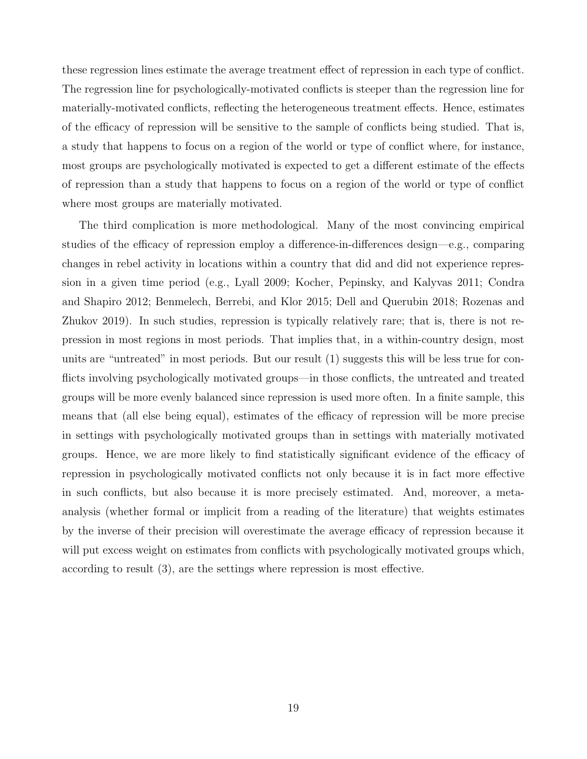these regression lines estimate the average treatment effect of repression in each type of conflict. The regression line for psychologically-motivated conflicts is steeper than the regression line for materially-motivated conflicts, reflecting the heterogeneous treatment effects. Hence, estimates of the efficacy of repression will be sensitive to the sample of conflicts being studied. That is, a study that happens to focus on a region of the world or type of conflict where, for instance, most groups are psychologically motivated is expected to get a different estimate of the effects of repression than a study that happens to focus on a region of the world or type of conflict where most groups are materially motivated.

The third complication is more methodological. Many of the most convincing empirical studies of the efficacy of repression employ a difference-in-differences design—e.g., comparing changes in rebel activity in locations within a country that did and did not experience repression in a given time period (e.g., Lyall 2009; Kocher, Pepinsky, and Kalyvas 2011; Condra and Shapiro 2012; Benmelech, Berrebi, and Klor 2015; Dell and Querubin 2018; Rozenas and Zhukov 2019). In such studies, repression is typically relatively rare; that is, there is not repression in most regions in most periods. That implies that, in a within-country design, most units are "untreated" in most periods. But our result (1) suggests this will be less true for conflicts involving psychologically motivated groups—in those conflicts, the untreated and treated groups will be more evenly balanced since repression is used more often. In a finite sample, this means that (all else being equal), estimates of the efficacy of repression will be more precise in settings with psychologically motivated groups than in settings with materially motivated groups. Hence, we are more likely to find statistically significant evidence of the efficacy of repression in psychologically motivated conflicts not only because it is in fact more effective in such conflicts, but also because it is more precisely estimated. And, moreover, a metaanalysis (whether formal or implicit from a reading of the literature) that weights estimates by the inverse of their precision will overestimate the average efficacy of repression because it will put excess weight on estimates from conflicts with psychologically motivated groups which, according to result (3), are the settings where repression is most effective.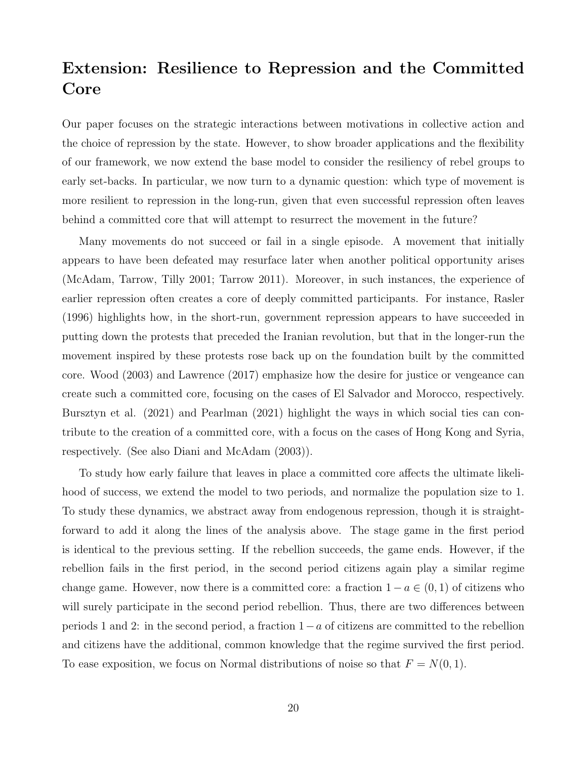# Extension: Resilience to Repression and the Committed Core

Our paper focuses on the strategic interactions between motivations in collective action and the choice of repression by the state. However, to show broader applications and the flexibility of our framework, we now extend the base model to consider the resiliency of rebel groups to early set-backs. In particular, we now turn to a dynamic question: which type of movement is more resilient to repression in the long-run, given that even successful repression often leaves behind a committed core that will attempt to resurrect the movement in the future?

Many movements do not succeed or fail in a single episode. A movement that initially appears to have been defeated may resurface later when another political opportunity arises (McAdam, Tarrow, Tilly 2001; Tarrow 2011). Moreover, in such instances, the experience of earlier repression often creates a core of deeply committed participants. For instance, Rasler (1996) highlights how, in the short-run, government repression appears to have succeeded in putting down the protests that preceded the Iranian revolution, but that in the longer-run the movement inspired by these protests rose back up on the foundation built by the committed core. Wood (2003) and Lawrence (2017) emphasize how the desire for justice or vengeance can create such a committed core, focusing on the cases of El Salvador and Morocco, respectively. Bursztyn et al. (2021) and Pearlman (2021) highlight the ways in which social ties can contribute to the creation of a committed core, with a focus on the cases of Hong Kong and Syria, respectively. (See also Diani and McAdam (2003)).

To study how early failure that leaves in place a committed core affects the ultimate likelihood of success, we extend the model to two periods, and normalize the population size to 1. To study these dynamics, we abstract away from endogenous repression, though it is straightforward to add it along the lines of the analysis above. The stage game in the first period is identical to the previous setting. If the rebellion succeeds, the game ends. However, if the rebellion fails in the first period, in the second period citizens again play a similar regime change game. However, now there is a committed core: a fraction  $1 - a \in (0, 1)$  of citizens who will surely participate in the second period rebellion. Thus, there are two differences between periods 1 and 2: in the second period, a fraction 1−a of citizens are committed to the rebellion and citizens have the additional, common knowledge that the regime survived the first period. To ease exposition, we focus on Normal distributions of noise so that  $F = N(0, 1)$ .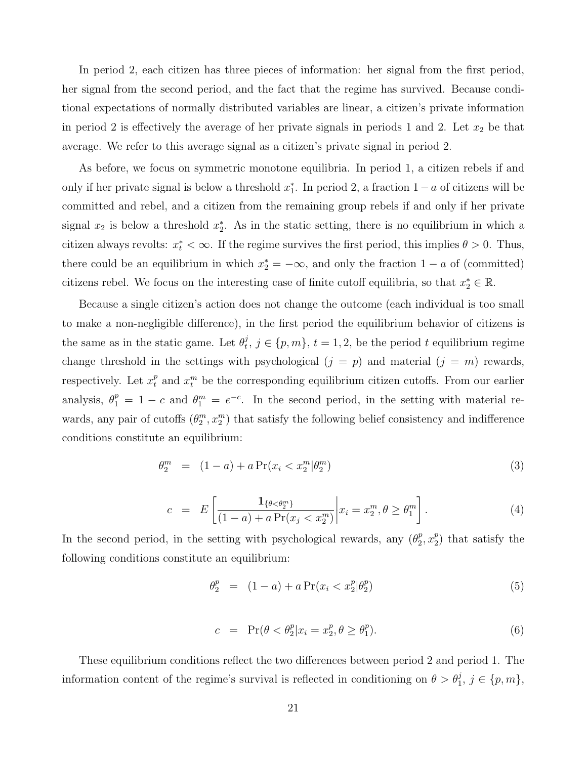In period 2, each citizen has three pieces of information: her signal from the first period, her signal from the second period, and the fact that the regime has survived. Because conditional expectations of normally distributed variables are linear, a citizen's private information in period 2 is effectively the average of her private signals in periods 1 and 2. Let  $x_2$  be that average. We refer to this average signal as a citizen's private signal in period 2.

As before, we focus on symmetric monotone equilibria. In period 1, a citizen rebels if and only if her private signal is below a threshold  $x_1^*$ . In period 2, a fraction  $1 - a$  of citizens will be committed and rebel, and a citizen from the remaining group rebels if and only if her private signal  $x_2$  is below a threshold  $x_2^*$ . As in the static setting, there is no equilibrium in which a citizen always revolts:  $x_t^* < \infty$ . If the regime survives the first period, this implies  $\theta > 0$ . Thus, there could be an equilibrium in which  $x_2^* = -\infty$ , and only the fraction  $1 - a$  of (committed) citizens rebel. We focus on the interesting case of finite cutoff equilibria, so that  $x_2^* \in \mathbb{R}$ .

Because a single citizen's action does not change the outcome (each individual is too small to make a non-negligible difference), in the first period the equilibrium behavior of citizens is the same as in the static game. Let  $\theta_t^j$  $t, j \in \{p, m\}, t = 1, 2$ , be the period t equilibrium regime change threshold in the settings with psychological  $(j = p)$  and material  $(j = m)$  rewards, respectively. Let  $x_t^p$  and  $x_t^m$  be the corresponding equilibrium citizen cutoffs. From our earlier analysis,  $\theta_1^p = 1 - c$  and  $\theta_1^m = e^{-c}$ . In the second period, in the setting with material rewards, any pair of cutoffs  $(\theta_2^m, x_2^m)$  that satisfy the following belief consistency and indifference conditions constitute an equilibrium:

$$
\theta_2^m = (1 - a) + a \Pr(x_i < x_2^m | \theta_2^m) \tag{3}
$$

$$
c = E\left[\frac{\mathbf{1}_{\{\theta < \theta_2^m\}}}{(1-a) + a \Pr(x_j < x_2^m)} \middle| x_i = x_2^m, \theta \ge \theta_1^m\right].
$$
 (4)

In the second period, in the setting with psychological rewards, any  $(\theta_2^p)$  $_{2}^{p},x_{2}^{p}$  $2<sup>p</sup>$  that satisfy the following conditions constitute an equilibrium:

$$
\theta_2^p = (1 - a) + a \Pr(x_i < x_2^p | \theta_2^p) \tag{5}
$$

$$
c = \Pr(\theta < \theta_2^p | x_i = x_2^p, \theta \ge \theta_1^p). \tag{6}
$$

These equilibrium conditions reflect the two differences between period 2 and period 1. The information content of the regime's survival is reflected in conditioning on  $\theta > \theta_1^j$ ,  $j \in \{p, m\}$ ,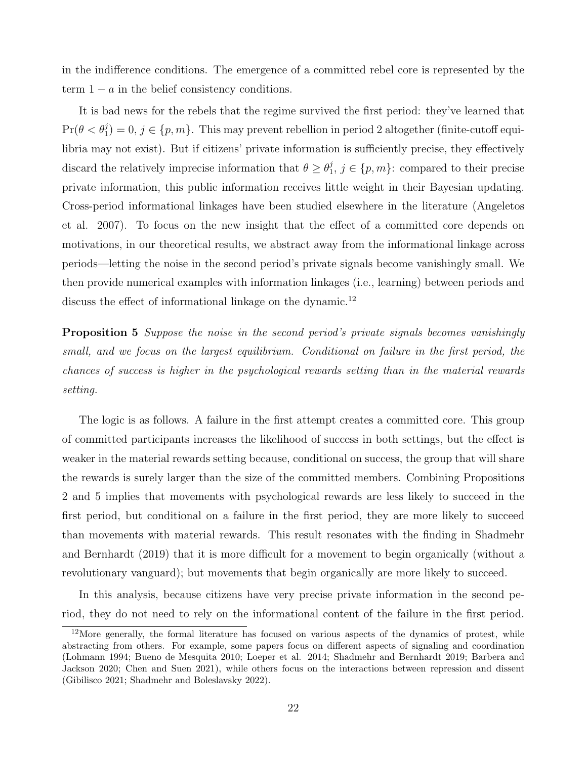in the indifference conditions. The emergence of a committed rebel core is represented by the term  $1 - a$  in the belief consistency conditions.

It is bad news for the rebels that the regime survived the first period: they've learned that  $Pr(\theta < \theta_1^j) = 0, j \in \{p, m\}$ . This may prevent rebellion in period 2 altogether (finite-cutoff equilibria may not exist). But if citizens' private information is sufficiently precise, they effectively discard the relatively imprecise information that  $\theta \geq \theta_1^j$  $j, j \in \{p, m\}$ : compared to their precise private information, this public information receives little weight in their Bayesian updating. Cross-period informational linkages have been studied elsewhere in the literature (Angeletos et al. 2007). To focus on the new insight that the effect of a committed core depends on motivations, in our theoretical results, we abstract away from the informational linkage across periods—letting the noise in the second period's private signals become vanishingly small. We then provide numerical examples with information linkages (i.e., learning) between periods and discuss the effect of informational linkage on the dynamic.<sup>12</sup>

**Proposition 5** Suppose the noise in the second period's private signals becomes vanishingly small, and we focus on the largest equilibrium. Conditional on failure in the first period, the chances of success is higher in the psychological rewards setting than in the material rewards setting.

The logic is as follows. A failure in the first attempt creates a committed core. This group of committed participants increases the likelihood of success in both settings, but the effect is weaker in the material rewards setting because, conditional on success, the group that will share the rewards is surely larger than the size of the committed members. Combining Propositions 2 and 5 implies that movements with psychological rewards are less likely to succeed in the first period, but conditional on a failure in the first period, they are more likely to succeed than movements with material rewards. This result resonates with the finding in Shadmehr and Bernhardt (2019) that it is more difficult for a movement to begin organically (without a revolutionary vanguard); but movements that begin organically are more likely to succeed.

In this analysis, because citizens have very precise private information in the second period, they do not need to rely on the informational content of the failure in the first period.

<sup>&</sup>lt;sup>12</sup>More generally, the formal literature has focused on various aspects of the dynamics of protest, while abstracting from others. For example, some papers focus on different aspects of signaling and coordination (Lohmann 1994; Bueno de Mesquita 2010; Loeper et al. 2014; Shadmehr and Bernhardt 2019; Barbera and Jackson 2020; Chen and Suen 2021), while others focus on the interactions between repression and dissent (Gibilisco 2021; Shadmehr and Boleslavsky 2022).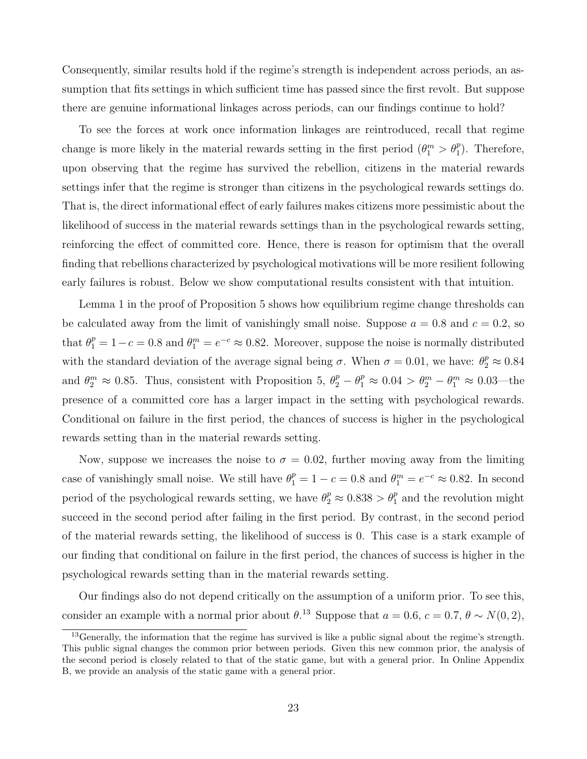Consequently, similar results hold if the regime's strength is independent across periods, an assumption that fits settings in which sufficient time has passed since the first revolt. But suppose there are genuine informational linkages across periods, can our findings continue to hold?

To see the forces at work once information linkages are reintroduced, recall that regime change is more likely in the material rewards setting in the first period  $(\theta_1^m > \theta_1^p)$ . Therefore, upon observing that the regime has survived the rebellion, citizens in the material rewards settings infer that the regime is stronger than citizens in the psychological rewards settings do. That is, the direct informational effect of early failures makes citizens more pessimistic about the likelihood of success in the material rewards settings than in the psychological rewards setting, reinforcing the effect of committed core. Hence, there is reason for optimism that the overall finding that rebellions characterized by psychological motivations will be more resilient following early failures is robust. Below we show computational results consistent with that intuition.

Lemma 1 in the proof of Proposition 5 shows how equilibrium regime change thresholds can be calculated away from the limit of vanishingly small noise. Suppose  $a = 0.8$  and  $c = 0.2$ , so that  $\theta_1^p = 1 - c = 0.8$  and  $\theta_1^m = e^{-c} \approx 0.82$ . Moreover, suppose the noise is normally distributed with the standard deviation of the average signal being  $\sigma$ . When  $\sigma = 0.01$ , we have:  $\theta_2^p \approx 0.84$ and  $\theta_2^m \approx 0.85$ . Thus, consistent with Proposition 5,  $\theta_2^p - \theta_1^p \approx 0.04 > \theta_2^m - \theta_1^m \approx 0.03$ —the presence of a committed core has a larger impact in the setting with psychological rewards. Conditional on failure in the first period, the chances of success is higher in the psychological rewards setting than in the material rewards setting.

Now, suppose we increases the noise to  $\sigma = 0.02$ , further moving away from the limiting case of vanishingly small noise. We still have  $\theta_1^p = 1 - c = 0.8$  and  $\theta_1^m = e^{-c} \approx 0.82$ . In second period of the psychological rewards setting, we have  $\theta_2^p \approx 0.838 > \theta_1^p$  and the revolution might succeed in the second period after failing in the first period. By contrast, in the second period of the material rewards setting, the likelihood of success is 0. This case is a stark example of our finding that conditional on failure in the first period, the chances of success is higher in the psychological rewards setting than in the material rewards setting.

Our findings also do not depend critically on the assumption of a uniform prior. To see this, consider an example with a normal prior about  $\theta$ .<sup>13</sup> Suppose that  $a = 0.6$ ,  $c = 0.7$ ,  $\theta \sim N(0, 2)$ ,

<sup>13</sup>Generally, the information that the regime has survived is like a public signal about the regime's strength. This public signal changes the common prior between periods. Given this new common prior, the analysis of the second period is closely related to that of the static game, but with a general prior. In Online Appendix B, we provide an analysis of the static game with a general prior.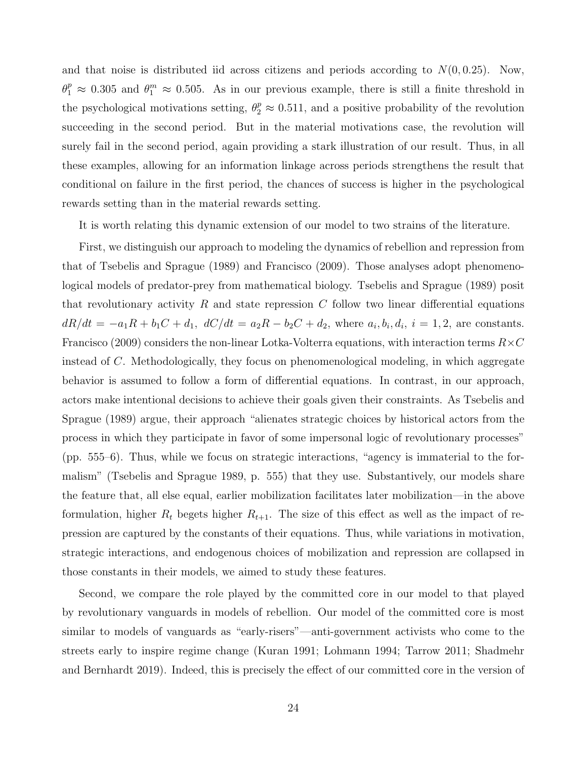and that noise is distributed iid across citizens and periods according to  $N(0, 0.25)$ . Now,  $\theta_1^p \approx 0.305$  and  $\theta_1^m \approx 0.505$ . As in our previous example, there is still a finite threshold in the psychological motivations setting,  $\theta_2^p \approx 0.511$ , and a positive probability of the revolution succeeding in the second period. But in the material motivations case, the revolution will surely fail in the second period, again providing a stark illustration of our result. Thus, in all these examples, allowing for an information linkage across periods strengthens the result that conditional on failure in the first period, the chances of success is higher in the psychological rewards setting than in the material rewards setting.

It is worth relating this dynamic extension of our model to two strains of the literature.

First, we distinguish our approach to modeling the dynamics of rebellion and repression from that of Tsebelis and Sprague (1989) and Francisco (2009). Those analyses adopt phenomenological models of predator-prey from mathematical biology. Tsebelis and Sprague (1989) posit that revolutionary activity R and state repression C follow two linear differential equations  $dR/dt = -a_1R + b_1C + d_1$ ,  $dC/dt = a_2R - b_2C + d_2$ , where  $a_i, b_i, d_i$ ,  $i = 1, 2$ , are constants. Francisco (2009) considers the non-linear Lotka-Volterra equations, with interaction terms  $R\times C$ instead of C. Methodologically, they focus on phenomenological modeling, in which aggregate behavior is assumed to follow a form of differential equations. In contrast, in our approach, actors make intentional decisions to achieve their goals given their constraints. As Tsebelis and Sprague (1989) argue, their approach "alienates strategic choices by historical actors from the process in which they participate in favor of some impersonal logic of revolutionary processes" (pp. 555–6). Thus, while we focus on strategic interactions, "agency is immaterial to the formalism" (Tsebelis and Sprague 1989, p. 555) that they use. Substantively, our models share the feature that, all else equal, earlier mobilization facilitates later mobilization—in the above formulation, higher  $R_t$  begets higher  $R_{t+1}$ . The size of this effect as well as the impact of repression are captured by the constants of their equations. Thus, while variations in motivation, strategic interactions, and endogenous choices of mobilization and repression are collapsed in those constants in their models, we aimed to study these features.

Second, we compare the role played by the committed core in our model to that played by revolutionary vanguards in models of rebellion. Our model of the committed core is most similar to models of vanguards as "early-risers"—anti-government activists who come to the streets early to inspire regime change (Kuran 1991; Lohmann 1994; Tarrow 2011; Shadmehr and Bernhardt 2019). Indeed, this is precisely the effect of our committed core in the version of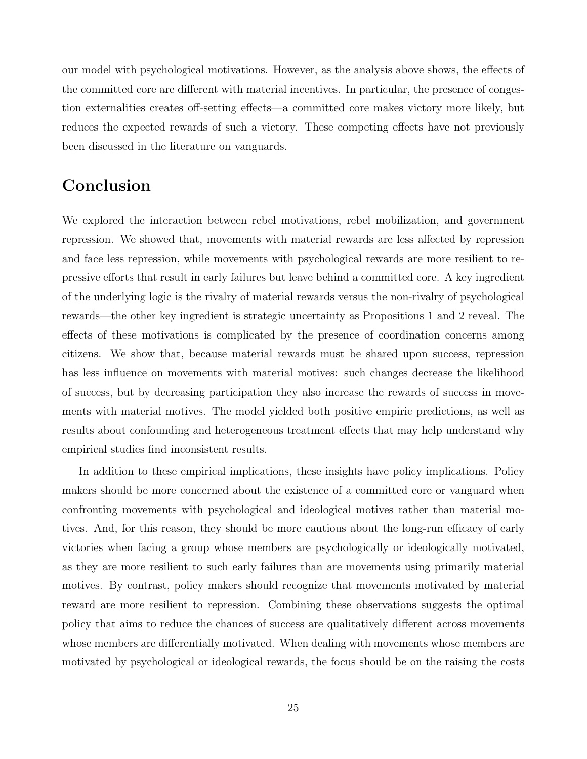our model with psychological motivations. However, as the analysis above shows, the effects of the committed core are different with material incentives. In particular, the presence of congestion externalities creates off-setting effects—a committed core makes victory more likely, but reduces the expected rewards of such a victory. These competing effects have not previously been discussed in the literature on vanguards.

# Conclusion

We explored the interaction between rebel motivations, rebel mobilization, and government repression. We showed that, movements with material rewards are less affected by repression and face less repression, while movements with psychological rewards are more resilient to repressive efforts that result in early failures but leave behind a committed core. A key ingredient of the underlying logic is the rivalry of material rewards versus the non-rivalry of psychological rewards—the other key ingredient is strategic uncertainty as Propositions 1 and 2 reveal. The effects of these motivations is complicated by the presence of coordination concerns among citizens. We show that, because material rewards must be shared upon success, repression has less influence on movements with material motives: such changes decrease the likelihood of success, but by decreasing participation they also increase the rewards of success in movements with material motives. The model yielded both positive empiric predictions, as well as results about confounding and heterogeneous treatment effects that may help understand why empirical studies find inconsistent results.

In addition to these empirical implications, these insights have policy implications. Policy makers should be more concerned about the existence of a committed core or vanguard when confronting movements with psychological and ideological motives rather than material motives. And, for this reason, they should be more cautious about the long-run efficacy of early victories when facing a group whose members are psychologically or ideologically motivated, as they are more resilient to such early failures than are movements using primarily material motives. By contrast, policy makers should recognize that movements motivated by material reward are more resilient to repression. Combining these observations suggests the optimal policy that aims to reduce the chances of success are qualitatively different across movements whose members are differentially motivated. When dealing with movements whose members are motivated by psychological or ideological rewards, the focus should be on the raising the costs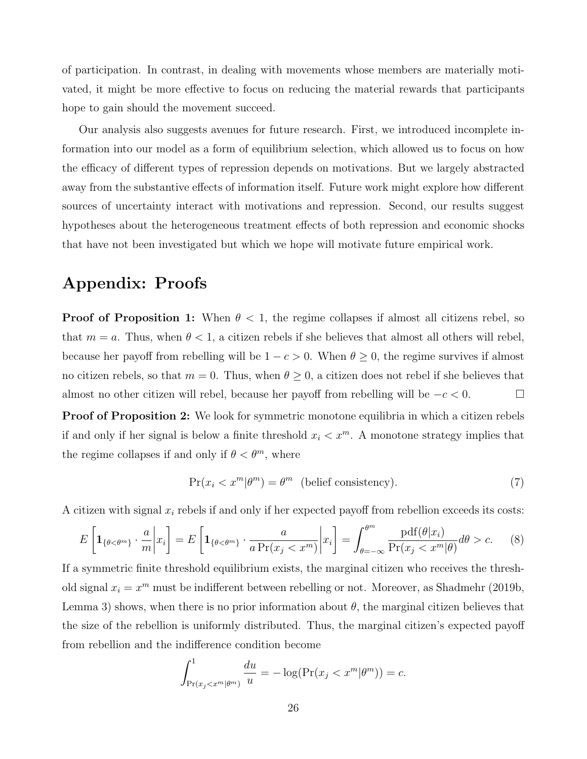of participation. In contrast, in dealing with movements whose members are materially motivated, it might be more effective to focus on reducing the material rewards that participants hope to gain should the movement succeed.

Our analysis also suggests avenues for future research. First, we introduced incomplete information into our model as a form of equilibrium selection, which allowed us to focus on how the efficacy of different types of repression depends on motivations. But we largely abstracted away from the substantive effects of information itself. Future work might explore how different sources of uncertainty interact with motivations and repression. Second, our results suggest hypotheses about the heterogeneous treatment effects of both repression and economic shocks that have not been investigated but which we hope will motivate future empirical work.

# Appendix: Proofs

**Proof of Proposition 1:** When  $\theta < 1$ , the regime collapses if almost all citizens rebel, so that  $m = a$ . Thus, when  $\theta < 1$ , a citizen rebels if she believes that almost all others will rebel, because her payoff from rebelling will be  $1 - c > 0$ . When  $\theta \ge 0$ , the regime survives if almost no citizen rebels, so that  $m = 0$ . Thus, when  $\theta \geq 0$ , a citizen does not rebel if she believes that almost no other citizen will rebel, because her payoff from rebelling will be  $-c < 0$ .  $\Box$ 

Proof of Proposition 2: We look for symmetric monotone equilibria in which a citizen rebels if and only if her signal is below a finite threshold  $x_i < x^m$ . A monotone strategy implies that the regime collapses if and only if  $\theta < \theta^m$ , where

$$
Pr(x_i < x^m | \theta^m) = \theta^m \quad \text{(belief consistency)}.\tag{7}
$$

A citizen with signal  $x_i$  rebels if and only if her expected payoff from rebellion exceeds its costs:

$$
E\left[\mathbf{1}_{\{\theta<\theta^m\}}\cdot\frac{a}{m}\bigg|x_i\right] = E\left[\mathbf{1}_{\{\theta<\theta^m\}}\cdot\frac{a}{a\Pr(x_j < x^m)}\bigg|x_i\right] = \int_{\theta=-\infty}^{\theta^m} \frac{\text{pdf}(\theta|x_i)}{\Pr(x_j < x^m|\theta)}d\theta > c. \tag{8}
$$

If a symmetric finite threshold equilibrium exists, the marginal citizen who receives the threshold signal  $x_i = x^m$  must be indifferent between rebelling or not. Moreover, as Shadmehr (2019b, Lemma 3) shows, when there is no prior information about  $\theta$ , the marginal citizen believes that the size of the rebellion is uniformly distributed. Thus, the marginal citizen's expected payoff from rebellion and the indifference condition become

$$
\int_{\Pr(x_j < x^m | \theta^m)}^1 \frac{du}{u} = -\log(\Pr(x_j < x^m | \theta^m)) = c.
$$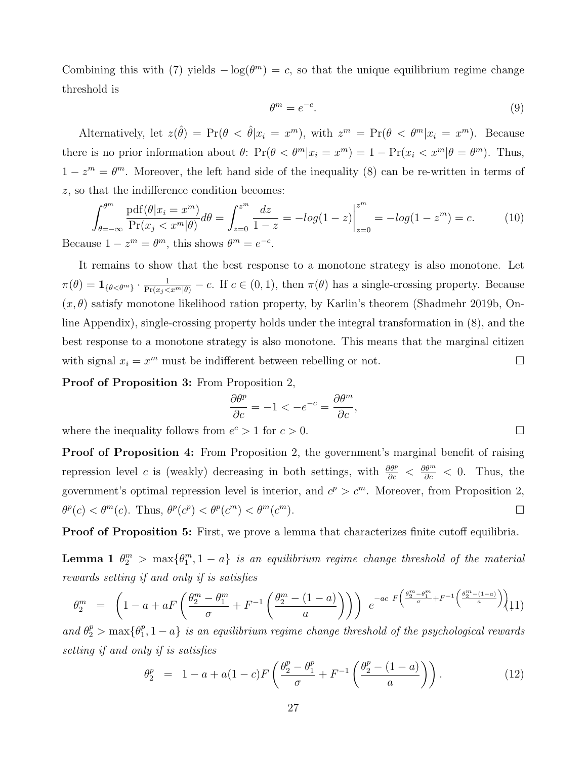Combining this with (7) yields  $-\log(\theta^m) = c$ , so that the unique equilibrium regime change threshold is

$$
\theta^m = e^{-c}.\tag{9}
$$

Alternatively, let  $z(\hat{\theta}) = Pr(\theta < \hat{\theta} | x_i = x^m)$ , with  $z^m = Pr(\theta < \theta^m | x_i = x^m)$ . Because there is no prior information about  $\theta$ :  $\Pr(\theta < \theta^m | x_i = x^m) = 1 - \Pr(x_i < x^m | \theta = \theta^m)$ . Thus,  $1-z^m = \theta^m$ . Moreover, the left hand side of the inequality (8) can be re-written in terms of z, so that the indifference condition becomes:

$$
\int_{\theta=-\infty}^{\theta^m} \frac{\text{pdf}(\theta|x_i = x^m)}{\text{Pr}(x_j < x^m | \theta)} d\theta = \int_{z=0}^{z^m} \frac{dz}{1-z} = -\log(1-z) \Big|_{z=0}^{z^m} = -\log(1-z^m) = c. \tag{10}
$$
\nBecause  $1 - z^m = \theta^m$ , this shows  $\theta^m = e^{-c}$ .

It remains to show that the best response to a monotone strategy is also monotone. Let  $\pi(\theta) = \mathbf{1}_{\{\theta < \theta^m\}} \cdot \frac{1}{\Pr(x_j < x^m | \theta)} - c$ . If  $c \in (0, 1)$ , then  $\pi(\theta)$  has a single-crossing property. Because  $(x, \theta)$  satisfy monotone likelihood ration property, by Karlin's theorem (Shadmehr 2019b, Online Appendix), single-crossing property holds under the integral transformation in (8), and the best response to a monotone strategy is also monotone. This means that the marginal citizen with signal  $x_i = x^m$  must be indifferent between rebelling or not.

Proof of Proposition 3: From Proposition 2,

$$
\frac{\partial \theta^p}{\partial c} = -1 < -e^{-c} = \frac{\partial \theta^m}{\partial c},
$$

where the inequality follows from  $e^c > 1$  for  $c > 0$ .

Proof of Proposition 4: From Proposition 2, the government's marginal benefit of raising repression level c is (weakly) decreasing in both settings, with  $\frac{\partial \theta^p}{\partial c} < \frac{\partial \theta^m}{\partial c} < 0$ . Thus, the government's optimal repression level is interior, and  $c^p > c^m$ . Moreover, from Proposition 2,  $\theta^p(c) < \theta^m(c)$ . Thus,  $\theta^p(c^p) < \theta^p(c^m) < \theta^m(c)$  $\Box$ 

Proof of Proposition 5: First, we prove a lemma that characterizes finite cutoff equilibria.

**Lemma 1**  $\theta_2^m$  > max $\{\theta_1^m, 1 - a\}$  is an equilibrium regime change threshold of the material rewards setting if and only if is satisfies

$$
\theta_2^m = \left(1 - a + aF\left(\frac{\theta_2^m - \theta_1^m}{\sigma} + F^{-1}\left(\frac{\theta_2^m - (1 - a)}{a}\right)\right)\right) e^{-ac F\left(\frac{\theta_2^m - \theta_1^m}{\sigma} + F^{-1}\left(\frac{\theta_2^m - (1 - a)}{a}\right)\right)} \tag{11}
$$

and  $\theta_2^p > \max\{\theta_1^p\}$  $\{a_1^p, 1-a\}$  is an equilibrium regime change threshold of the psychological rewards setting if and only if is satisfies

$$
\theta_2^p = 1 - a + a(1 - c)F\left(\frac{\theta_2^p - \theta_1^p}{\sigma} + F^{-1}\left(\frac{\theta_2^p - (1 - a)}{a}\right)\right). \tag{12}
$$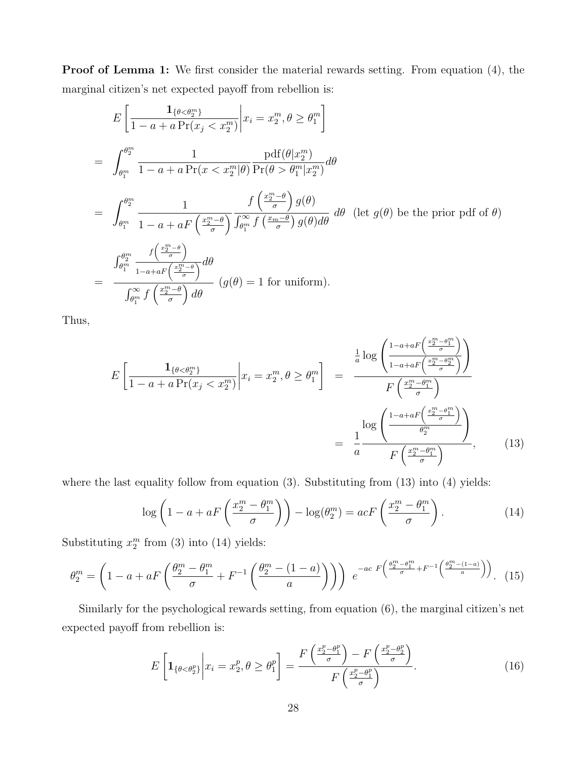Proof of Lemma 1: We first consider the material rewards setting. From equation (4), the marginal citizen's net expected payoff from rebellion is:

$$
E\left[\frac{1_{\{\theta<\theta_2^m\}}}{1-a+a\Pr(x_j < x_2^m)}\middle| x_i = x_2^m, \theta \ge \theta_1^m\right]
$$
  
= 
$$
\int_{\theta_1^m}^{\theta_2^m} \frac{1}{1-a+a\Pr(x < x_2^m|\theta)} \frac{\text{pdf}(\theta|x_2^m)}{\text{Pr}(\theta > \theta_1^m|x_2^m)} d\theta
$$
  
= 
$$
\int_{\theta_1^m}^{\theta_2^m} \frac{1}{1-a+aF\left(\frac{x_2^m-\theta}{\sigma}\right)} \frac{f\left(\frac{x_2^m-\theta}{\sigma}\right)g(\theta)}{\int_{\theta_1^m}^{\infty}f\left(\frac{x_m-\theta}{\sigma}\right)g(\theta)d\theta} d\theta \text{ (let } g(\theta) \text{ be the prior pdf of } \theta)
$$
  
= 
$$
\frac{\int_{\theta_1^m}^{\theta_2^m} \frac{f\left(\frac{x_2^m-\theta}{\sigma}\right)}{1-a+aF\left(\frac{x_2^m-\theta}{\sigma}\right)} d\theta}{\int_{\theta_1^m}^{\infty}f\left(\frac{x_2^m-\theta}{\sigma}\right)d\theta} (g(\theta) = 1 \text{ for uniform}).
$$

Thus,

$$
E\left[\frac{1_{\{\theta<\theta_{2}^{m}\}}}{1-a+a\Pr(x_{j}\n
$$
=\frac{1}{a}\frac{\log\left(\frac{1-a+aF\left(\frac{x_{2}^{m}-\theta_{1}^{m}}{\sigma}\right)}{\theta_{2}^{m}}\right)}{F\left(\frac{x_{2}^{m}-\theta_{1}^{m}}{\sigma}\right)},\qquad(13)
$$
$$

where the last equality follow from equation (3). Substituting from (13) into (4) yields:

$$
\log\left(1 - a + aF\left(\frac{x_2^m - \theta_1^m}{\sigma}\right)\right) - \log(\theta_2^m) = acF\left(\frac{x_2^m - \theta_1^m}{\sigma}\right). \tag{14}
$$

Substituting  $x_2^m$  from (3) into (14) yields:

$$
\theta_2^m = \left(1 - a + aF\left(\frac{\theta_2^m - \theta_1^m}{\sigma} + F^{-1}\left(\frac{\theta_2^m - (1 - a)}{a}\right)\right)\right) e^{-ac F\left(\frac{\theta_2^m - \theta_1^m}{\sigma} + F^{-1}\left(\frac{\theta_2^m - (1 - a)}{a}\right)\right)}.
$$
 (15)

Similarly for the psychological rewards setting, from equation (6), the marginal citizen's net expected payoff from rebellion is:

$$
E\left[\mathbf{1}_{\{\theta<\theta_2^p\}}\bigg|x_i=x_2^p,\theta\geq\theta_1^p\right]=\frac{F\left(\frac{x_2^p-\theta_1^p}{\sigma}\right)-F\left(\frac{x_2^p-\theta_2^p}{\sigma}\right)}{F\left(\frac{x_2^p-\theta_1^p}{\sigma}\right)}.\tag{16}
$$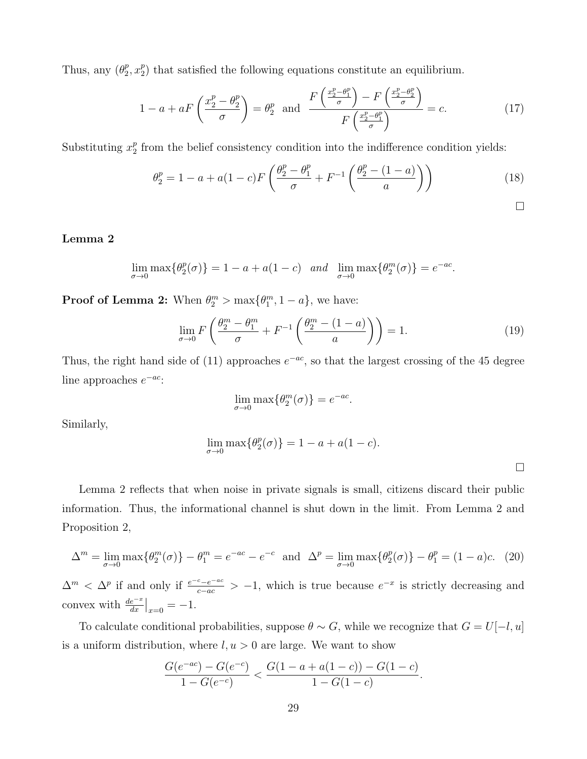Thus, any  $(\theta_2^p)$  $_2^p, x_2^p$  $_{2}^{p}$ ) that satisfied the following equations constitute an equilibrium.

$$
1 - a + aF\left(\frac{x_2^p - \theta_2^p}{\sigma}\right) = \theta_2^p \quad \text{and} \quad \frac{F\left(\frac{x_2^p - \theta_1^p}{\sigma}\right) - F\left(\frac{x_2^p - \theta_2^p}{\sigma}\right)}{F\left(\frac{x_2^p - \theta_1^p}{\sigma}\right)} = c. \tag{17}
$$

Substituting  $x_2^p$  $\frac{p}{2}$  from the belief consistency condition into the indifference condition yields:

$$
\theta_2^p = 1 - a + a(1 - c)F\left(\frac{\theta_2^p - \theta_1^p}{\sigma} + F^{-1}\left(\frac{\theta_2^p - (1 - a)}{a}\right)\right)
$$
(18)

#### Lemma 2

$$
\lim_{\sigma \to 0} \max \{ \theta_2^p(\sigma) \} = 1 - a + a(1 - c) \quad \text{and} \quad \lim_{\sigma \to 0} \max \{ \theta_2^m(\sigma) \} = e^{-ac}.
$$

**Proof of Lemma 2:** When  $\theta_2^m > \max{\{\theta_1^m, 1 - a\}}$ , we have:

$$
\lim_{\sigma \to 0} F\left(\frac{\theta_2^m - \theta_1^m}{\sigma} + F^{-1}\left(\frac{\theta_2^m - (1 - a)}{a}\right)\right) = 1.
$$
\n(19)

.

Thus, the right hand side of (11) approaches  $e^{-ac}$ , so that the largest crossing of the 45 degree line approaches  $e^{-ac}$ :

$$
\lim_{\sigma \to 0} \max \{ \theta_2^m(\sigma) \} = e^{-ac}
$$

Similarly,

$$
\lim_{\sigma \to 0} \max \{ \theta_2^p(\sigma) \} = 1 - a + a(1 - c).
$$

Lemma 2 reflects that when noise in private signals is small, citizens discard their public information. Thus, the informational channel is shut down in the limit. From Lemma 2 and Proposition 2,

$$
\Delta^m = \lim_{\sigma \to 0} \max \{ \theta_2^m(\sigma) \} - \theta_1^m = e^{-ac} - e^{-c} \text{ and } \Delta^p = \lim_{\sigma \to 0} \max \{ \theta_2^p(\sigma) \} - \theta_1^p = (1 - a)c. \tag{20}
$$

 $\Delta^m < \Delta^p$  if and only if  $\frac{e^{-c}-e^{-ac}}{c-ac} > -1$ , which is true because  $e^{-x}$  is strictly decreasing and convex with  $\frac{de^{-x}}{dx}\big|_{x=0} = -1$ .

To calculate conditional probabilities, suppose  $\theta \sim G$ , while we recognize that  $G = U[-l, u]$ is a uniform distribution, where  $l, u > 0$  are large. We want to show

$$
\frac{G(e^{-ac})-G(e^{-c})}{1-G(e^{-c})}<\frac{G(1-a+a(1-c))-G(1-c)}{1-G(1-c)}.
$$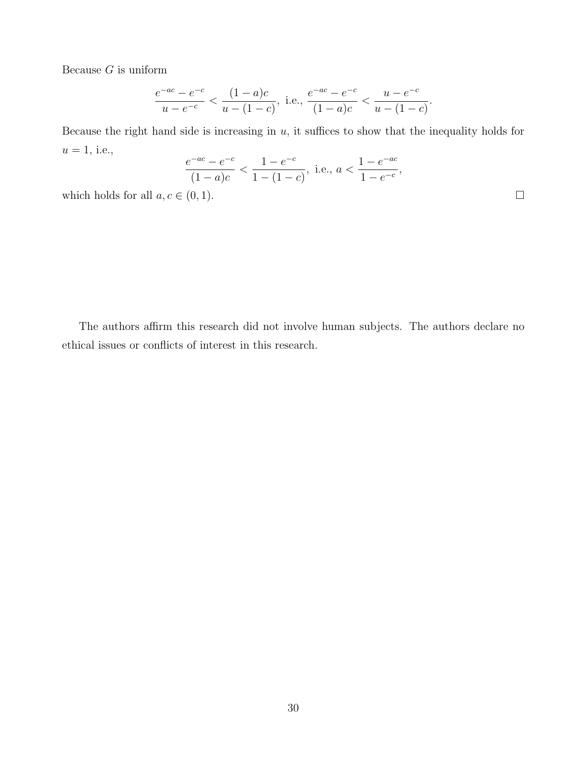Because  $G$  is uniform

$$
\frac{e^{-ac} - e^{-c}}{u - e^{-c}} < \frac{(1 - a)c}{u - (1 - c)}, \text{ i.e., } \frac{e^{-ac} - e^{-c}}{(1 - a)c} < \frac{u - e^{-c}}{u - (1 - c)}.
$$

Because the right hand side is increasing in  $u$ , it suffices to show that the inequality holds for  $u=1,$  i.e.,

$$
\frac{e^{-ac} - e^{-c}}{(1 - a)c} < \frac{1 - e^{-c}}{1 - (1 - c)}, \text{ i.e., } a < \frac{1 - e^{-ac}}{1 - e^{-c}},
$$

which holds for all  $a, c \in (0, 1)$ .

The authors affirm this research did not involve human subjects. The authors declare no ethical issues or conflicts of interest in this research.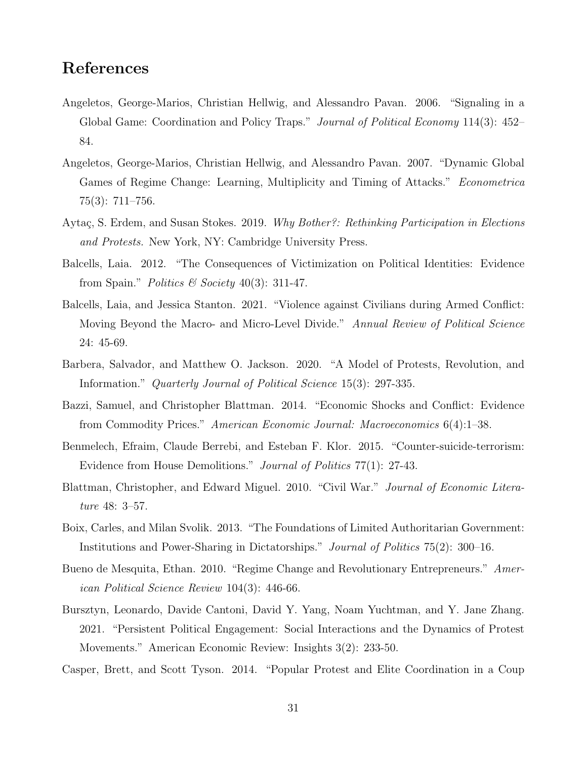# References

- Angeletos, George-Marios, Christian Hellwig, and Alessandro Pavan. 2006. "Signaling in a Global Game: Coordination and Policy Traps." Journal of Political Economy 114(3): 452– 84.
- Angeletos, George-Marios, Christian Hellwig, and Alessandro Pavan. 2007. "Dynamic Global Games of Regime Change: Learning, Multiplicity and Timing of Attacks." Econometrica 75(3): 711–756.
- Aytaç, S. Erdem, and Susan Stokes. 2019. Why Bother?: Rethinking Participation in Elections and Protests. New York, NY: Cambridge University Press.
- Balcells, Laia. 2012. "The Consequences of Victimization on Political Identities: Evidence from Spain." Politics & Society 40(3): 311-47.
- Balcells, Laia, and Jessica Stanton. 2021. "Violence against Civilians during Armed Conflict: Moving Beyond the Macro- and Micro-Level Divide." Annual Review of Political Science 24: 45-69.
- Barbera, Salvador, and Matthew O. Jackson. 2020. "A Model of Protests, Revolution, and Information." Quarterly Journal of Political Science 15(3): 297-335.
- Bazzi, Samuel, and Christopher Blattman. 2014. "Economic Shocks and Conflict: Evidence from Commodity Prices." American Economic Journal: Macroeconomics 6(4):1–38.
- Benmelech, Efraim, Claude Berrebi, and Esteban F. Klor. 2015. "Counter-suicide-terrorism: Evidence from House Demolitions." Journal of Politics 77(1): 27-43.
- Blattman, Christopher, and Edward Miguel. 2010. "Civil War." Journal of Economic Literature 48: 3–57.
- Boix, Carles, and Milan Svolik. 2013. "The Foundations of Limited Authoritarian Government: Institutions and Power-Sharing in Dictatorships." Journal of Politics 75(2): 300–16.
- Bueno de Mesquita, Ethan. 2010. "Regime Change and Revolutionary Entrepreneurs." American Political Science Review 104(3): 446-66.
- Bursztyn, Leonardo, Davide Cantoni, David Y. Yang, Noam Yuchtman, and Y. Jane Zhang. 2021. "Persistent Political Engagement: Social Interactions and the Dynamics of Protest Movements." American Economic Review: Insights 3(2): 233-50.
- Casper, Brett, and Scott Tyson. 2014. "Popular Protest and Elite Coordination in a Coup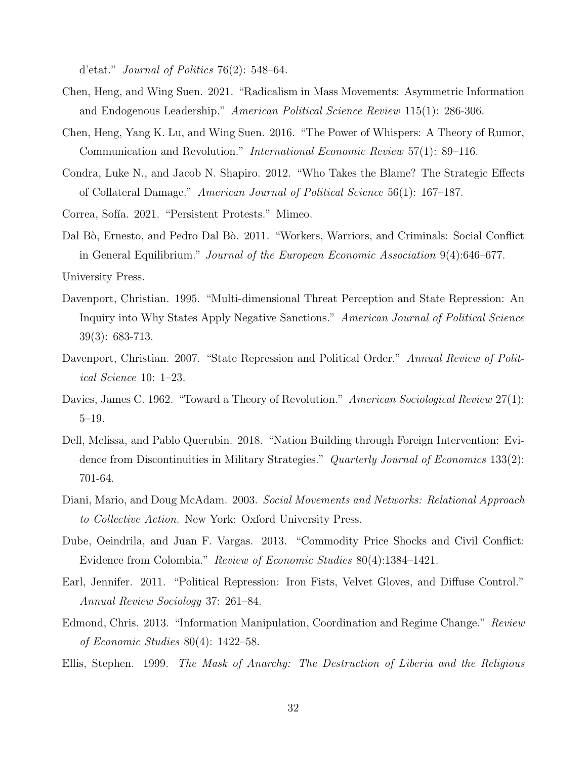d'etat." Journal of Politics 76(2): 548–64.

- Chen, Heng, and Wing Suen. 2021. "Radicalism in Mass Movements: Asymmetric Information and Endogenous Leadership." American Political Science Review 115(1): 286-306.
- Chen, Heng, Yang K. Lu, and Wing Suen. 2016. "The Power of Whispers: A Theory of Rumor, Communication and Revolution." International Economic Review 57(1): 89–116.
- Condra, Luke N., and Jacob N. Shapiro. 2012. "Who Takes the Blame? The Strategic Effects of Collateral Damage." American Journal of Political Science 56(1): 167–187.
- Correa, Sofía. 2021. "Persistent Protests." Mimeo.
- Dal Bò, Ernesto, and Pedro Dal Bò. 2011. "Workers, Warriors, and Criminals: Social Conflict in General Equilibrium." Journal of the European Economic Association 9(4):646–677.
- University Press.
- Davenport, Christian. 1995. "Multi-dimensional Threat Perception and State Repression: An Inquiry into Why States Apply Negative Sanctions." American Journal of Political Science 39(3): 683-713.
- Davenport, Christian. 2007. "State Repression and Political Order." Annual Review of Political Science 10: 1–23.
- Davies, James C. 1962. "Toward a Theory of Revolution." American Sociological Review 27(1): 5–19.
- Dell, Melissa, and Pablo Querubin. 2018. "Nation Building through Foreign Intervention: Evidence from Discontinuities in Military Strategies." Quarterly Journal of Economics 133(2): 701-64.
- Diani, Mario, and Doug McAdam. 2003. Social Movements and Networks: Relational Approach to Collective Action. New York: Oxford University Press.
- Dube, Oeindrila, and Juan F. Vargas. 2013. "Commodity Price Shocks and Civil Conflict: Evidence from Colombia." Review of Economic Studies 80(4):1384–1421.
- Earl, Jennifer. 2011. "Political Repression: Iron Fists, Velvet Gloves, and Diffuse Control." Annual Review Sociology 37: 261–84.
- Edmond, Chris. 2013. "Information Manipulation, Coordination and Regime Change." Review of Economic Studies 80(4): 1422–58.
- Ellis, Stephen. 1999. The Mask of Anarchy: The Destruction of Liberia and the Religious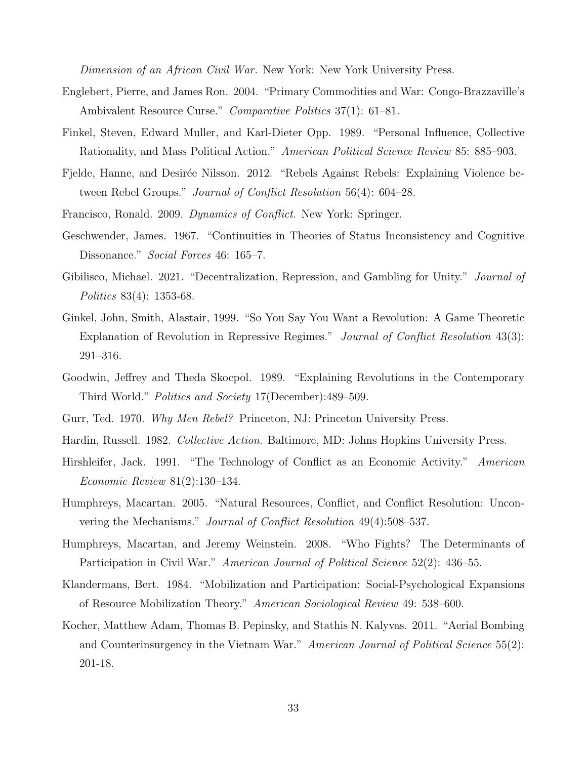Dimension of an African Civil War. New York: New York University Press.

- Englebert, Pierre, and James Ron. 2004. "Primary Commodities and War: Congo-Brazzaville's Ambivalent Resource Curse." Comparative Politics 37(1): 61–81.
- Finkel, Steven, Edward Muller, and Karl-Dieter Opp. 1989. "Personal Influence, Collective Rationality, and Mass Political Action." American Political Science Review 85: 885–903.
- Fjelde, Hanne, and Desirée Nilsson. 2012. "Rebels Against Rebels: Explaining Violence between Rebel Groups." Journal of Conflict Resolution 56(4): 604–28.
- Francisco, Ronald. 2009. Dynamics of Conflict. New York: Springer.
- Geschwender, James. 1967. "Continuities in Theories of Status Inconsistency and Cognitive Dissonance." Social Forces 46: 165–7.
- Gibilisco, Michael. 2021. "Decentralization, Repression, and Gambling for Unity." *Journal of* Politics 83(4): 1353-68.
- Ginkel, John, Smith, Alastair, 1999. "So You Say You Want a Revolution: A Game Theoretic Explanation of Revolution in Repressive Regimes." Journal of Conflict Resolution 43(3): 291–316.
- Goodwin, Jeffrey and Theda Skocpol. 1989. "Explaining Revolutions in the Contemporary Third World." Politics and Society 17(December):489–509.
- Gurr, Ted. 1970. Why Men Rebel? Princeton, NJ: Princeton University Press.
- Hardin, Russell. 1982. Collective Action. Baltimore, MD: Johns Hopkins University Press.
- Hirshleifer, Jack. 1991. "The Technology of Conflict as an Economic Activity." American Economic Review 81(2):130–134.
- Humphreys, Macartan. 2005. "Natural Resources, Conflict, and Conflict Resolution: Unconvering the Mechanisms." Journal of Conflict Resolution 49(4):508–537.
- Humphreys, Macartan, and Jeremy Weinstein. 2008. "Who Fights? The Determinants of Participation in Civil War." American Journal of Political Science 52(2): 436–55.
- Klandermans, Bert. 1984. "Mobilization and Participation: Social-Psychological Expansions of Resource Mobilization Theory." American Sociological Review 49: 538–600.
- Kocher, Matthew Adam, Thomas B. Pepinsky, and Stathis N. Kalyvas. 2011. "Aerial Bombing and Counterinsurgency in the Vietnam War." American Journal of Political Science 55(2): 201-18.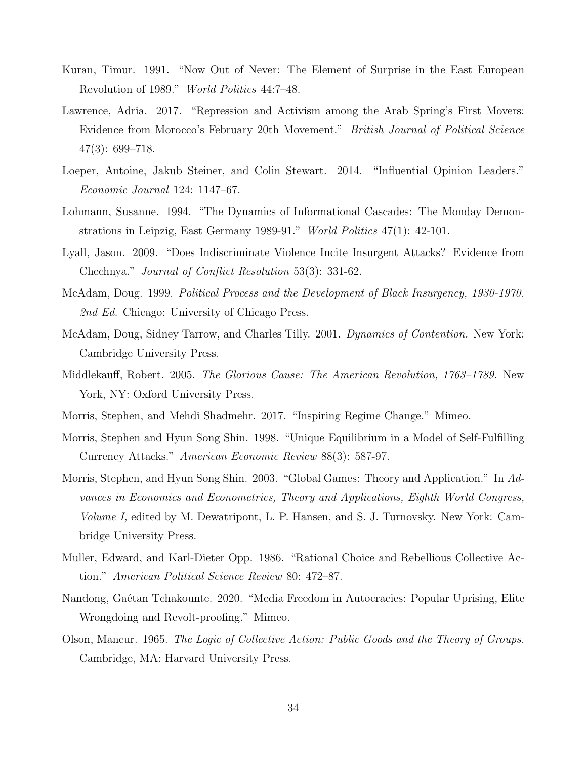- Kuran, Timur. 1991. "Now Out of Never: The Element of Surprise in the East European Revolution of 1989." World Politics 44:7–48.
- Lawrence, Adria. 2017. "Repression and Activism among the Arab Spring's First Movers: Evidence from Morocco's February 20th Movement." British Journal of Political Science 47(3): 699–718.
- Loeper, Antoine, Jakub Steiner, and Colin Stewart. 2014. "Influential Opinion Leaders." Economic Journal 124: 1147–67.
- Lohmann, Susanne. 1994. "The Dynamics of Informational Cascades: The Monday Demonstrations in Leipzig, East Germany 1989-91." World Politics 47(1): 42-101.
- Lyall, Jason. 2009. "Does Indiscriminate Violence Incite Insurgent Attacks? Evidence from Chechnya." Journal of Conflict Resolution 53(3): 331-62.
- McAdam, Doug. 1999. Political Process and the Development of Black Insurgency, 1930-1970. 2nd Ed. Chicago: University of Chicago Press.
- McAdam, Doug, Sidney Tarrow, and Charles Tilly. 2001. Dynamics of Contention. New York: Cambridge University Press.
- Middlekauff, Robert. 2005. The Glorious Cause: The American Revolution, 1763–1789. New York, NY: Oxford University Press.
- Morris, Stephen, and Mehdi Shadmehr. 2017. "Inspiring Regime Change." Mimeo.
- Morris, Stephen and Hyun Song Shin. 1998. "Unique Equilibrium in a Model of Self-Fulfilling Currency Attacks." American Economic Review 88(3): 587-97.
- Morris, Stephen, and Hyun Song Shin. 2003. "Global Games: Theory and Application." In Advances in Economics and Econometrics, Theory and Applications, Eighth World Congress, Volume I, edited by M. Dewatripont, L. P. Hansen, and S. J. Turnovsky. New York: Cambridge University Press.
- Muller, Edward, and Karl-Dieter Opp. 1986. "Rational Choice and Rebellious Collective Action." American Political Science Review 80: 472–87.
- Nandong, Gaétan Tchakounte. 2020. "Media Freedom in Autocracies: Popular Uprising, Elite Wrongdoing and Revolt-proofing." Mimeo.
- Olson, Mancur. 1965. The Logic of Collective Action: Public Goods and the Theory of Groups. Cambridge, MA: Harvard University Press.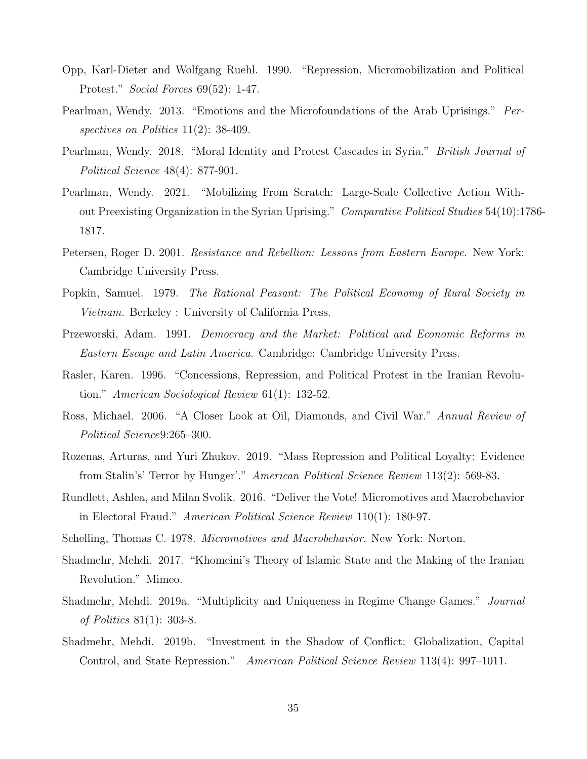- Opp, Karl-Dieter and Wolfgang Ruehl. 1990. "Repression, Micromobilization and Political Protest." Social Forces 69(52): 1-47.
- Pearlman, Wendy. 2013. "Emotions and the Microfoundations of the Arab Uprisings." Perspectives on Politics 11(2): 38-409.
- Pearlman, Wendy. 2018. "Moral Identity and Protest Cascades in Syria." *British Journal of* Political Science 48(4): 877-901.
- Pearlman, Wendy. 2021. "Mobilizing From Scratch: Large-Scale Collective Action Without Preexisting Organization in the Syrian Uprising." Comparative Political Studies 54(10):1786- 1817.
- Petersen, Roger D. 2001. Resistance and Rebellion: Lessons from Eastern Europe. New York: Cambridge University Press.
- Popkin, Samuel. 1979. The Rational Peasant: The Political Economy of Rural Society in Vietnam. Berkeley : University of California Press.
- Przeworski, Adam. 1991. Democracy and the Market: Political and Economic Reforms in Eastern Escape and Latin America. Cambridge: Cambridge University Press.
- Rasler, Karen. 1996. "Concessions, Repression, and Political Protest in the Iranian Revolution." American Sociological Review 61(1): 132-52.
- Ross, Michael. 2006. "A Closer Look at Oil, Diamonds, and Civil War." Annual Review of Political Science9:265–300.
- Rozenas, Arturas, and Yuri Zhukov. 2019. "Mass Repression and Political Loyalty: Evidence from Stalin's' Terror by Hunger'." American Political Science Review 113(2): 569-83.
- Rundlett, Ashlea, and Milan Svolik. 2016. "Deliver the Vote! Micromotives and Macrobehavior in Electoral Fraud." American Political Science Review 110(1): 180-97.
- Schelling, Thomas C. 1978. Micromotives and Macrobehavior. New York: Norton.
- Shadmehr, Mehdi. 2017. "Khomeini's Theory of Islamic State and the Making of the Iranian Revolution." Mimeo.
- Shadmehr, Mehdi. 2019a. "Multiplicity and Uniqueness in Regime Change Games." Journal of Politics 81(1): 303-8.
- Shadmehr, Mehdi. 2019b. "Investment in the Shadow of Conflict: Globalization, Capital Control, and State Repression." American Political Science Review 113(4): 997–1011.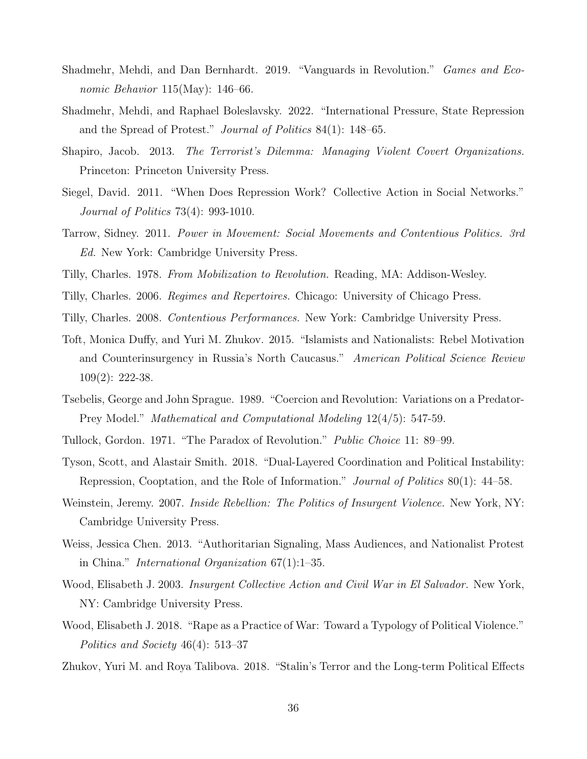- Shadmehr, Mehdi, and Dan Bernhardt. 2019. "Vanguards in Revolution." Games and Economic Behavior 115(May): 146–66.
- Shadmehr, Mehdi, and Raphael Boleslavsky. 2022. "International Pressure, State Repression and the Spread of Protest." Journal of Politics 84(1): 148–65.
- Shapiro, Jacob. 2013. The Terrorist's Dilemma: Managing Violent Covert Organizations. Princeton: Princeton University Press.
- Siegel, David. 2011. "When Does Repression Work? Collective Action in Social Networks." Journal of Politics 73(4): 993-1010.
- Tarrow, Sidney. 2011. Power in Movement: Social Movements and Contentious Politics. 3rd Ed. New York: Cambridge University Press.
- Tilly, Charles. 1978. From Mobilization to Revolution. Reading, MA: Addison-Wesley.
- Tilly, Charles. 2006. Regimes and Repertoires. Chicago: University of Chicago Press.
- Tilly, Charles. 2008. Contentious Performances. New York: Cambridge University Press.
- Toft, Monica Duffy, and Yuri M. Zhukov. 2015. "Islamists and Nationalists: Rebel Motivation and Counterinsurgency in Russia's North Caucasus." American Political Science Review 109(2): 222-38.
- Tsebelis, George and John Sprague. 1989. "Coercion and Revolution: Variations on a Predator-Prey Model." Mathematical and Computational Modeling 12(4/5): 547-59.
- Tullock, Gordon. 1971. "The Paradox of Revolution." Public Choice 11: 89–99.
- Tyson, Scott, and Alastair Smith. 2018. "Dual-Layered Coordination and Political Instability: Repression, Cooptation, and the Role of Information." *Journal of Politics* 80(1): 44–58.
- Weinstein, Jeremy. 2007. *Inside Rebellion: The Politics of Insurgent Violence.* New York, NY: Cambridge University Press.
- Weiss, Jessica Chen. 2013. "Authoritarian Signaling, Mass Audiences, and Nationalist Protest in China." International Organization 67(1):1–35.
- Wood, Elisabeth J. 2003. Insurgent Collective Action and Civil War in El Salvador. New York, NY: Cambridge University Press.
- Wood, Elisabeth J. 2018. "Rape as a Practice of War: Toward a Typology of Political Violence." Politics and Society 46(4): 513–37
- Zhukov, Yuri M. and Roya Talibova. 2018. "Stalin's Terror and the Long-term Political Effects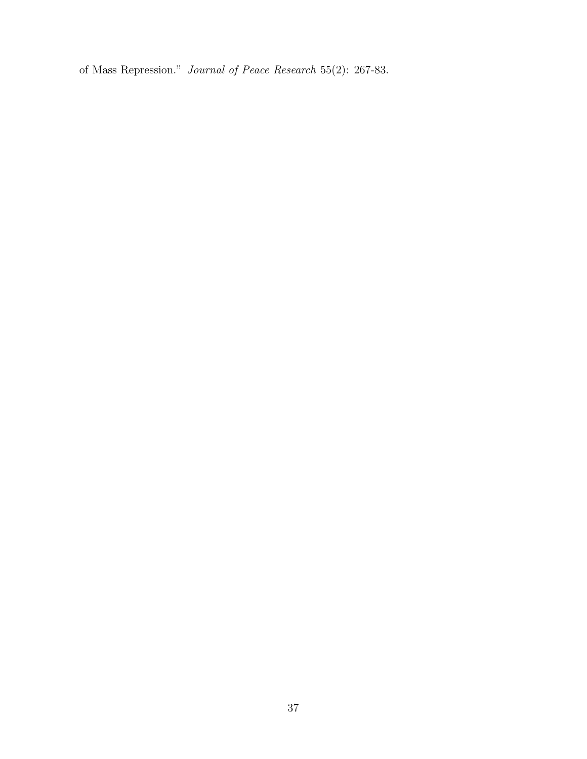of Mass Repression." Journal of Peace Research 55(2): 267-83.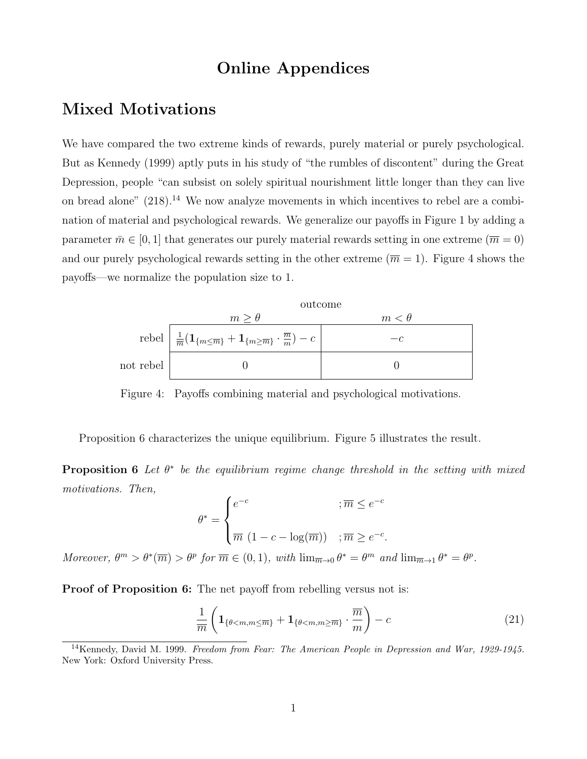# Online Appendices

# Mixed Motivations

We have compared the two extreme kinds of rewards, purely material or purely psychological. But as Kennedy (1999) aptly puts in his study of "the rumbles of discontent" during the Great Depression, people "can subsist on solely spiritual nourishment little longer than they can live on bread alone"  $(218)$ .<sup>14</sup> We now analyze movements in which incentives to rebel are a combination of material and psychological rewards. We generalize our payoffs in Figure 1 by adding a parameter  $\bar{m} \in [0, 1]$  that generates our purely material rewards setting in one extreme  $(\bar{m} = 0)$ and our purely psychological rewards setting in the other extreme  $(\overline{m} = 1)$ . Figure 4 shows the payoffs—we normalize the population size to 1.



Figure 4: Payoffs combining material and psychological motivations.

Proposition 6 characterizes the unique equilibrium. Figure 5 illustrates the result.

**Proposition 6** Let  $\theta^*$  be the equilibrium regime change threshold in the setting with mixed motivations. Then,

$$
\theta^* = \begin{cases} e^{-c} & \text{; } \overline{m} \le e^{-c} \\ \overline{m} \ (1 - c - \log(\overline{m})) & \text{; } \overline{m} \ge e^{-c}. \end{cases}
$$

Moreover,  $\theta^m > \theta^*(\overline{m}) > \theta^p$  for  $\overline{m} \in (0,1)$ , with  $\lim_{\overline{m}\to 0} \theta^* = \theta^m$  and  $\lim_{\overline{m}\to 1} \theta^* = \theta^p$ .

**Proof of Proposition 6:** The net payoff from rebelling versus not is:

$$
\frac{1}{\overline{m}}\left(\mathbf{1}_{\{\theta < m,m \le \overline{m}\}} + \mathbf{1}_{\{\theta < m,m \ge \overline{m}\}} \cdot \frac{\overline{m}}{m}\right) - c \tag{21}
$$

<sup>14</sup>Kennedy, David M. 1999. Freedom from Fear: The American People in Depression and War, 1929-1945. New York: Oxford University Press.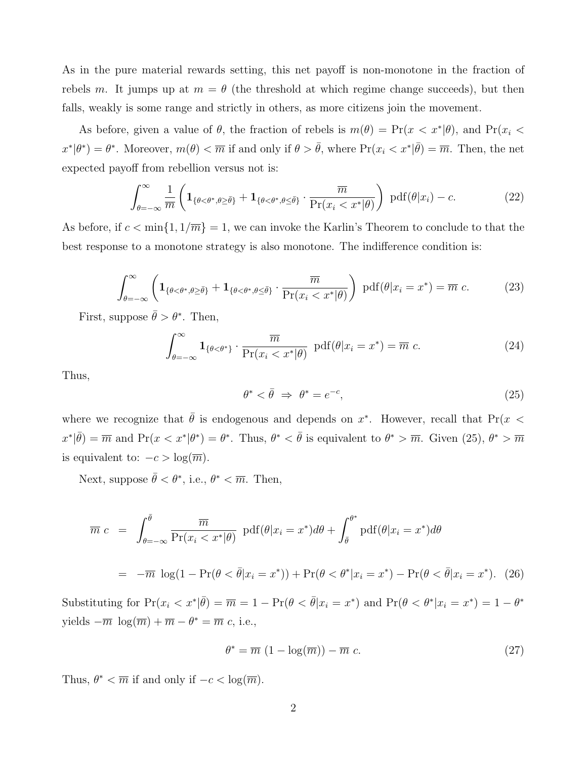As in the pure material rewards setting, this net payoff is non-monotone in the fraction of rebels m. It jumps up at  $m = \theta$  (the threshold at which regime change succeeds), but then falls, weakly is some range and strictly in others, as more citizens join the movement.

As before, given a value of  $\theta$ , the fraction of rebels is  $m(\theta) = Pr(x < x^*|\theta)$ , and  $Pr(x_i < \theta)$  $x^*|\theta^*) = \theta^*$ . Moreover,  $m(\theta) < \overline{m}$  if and only if  $\theta > \overline{\theta}$ , where  $Pr(x_i < x^*|\overline{\theta}) = \overline{m}$ . Then, the net expected payoff from rebellion versus not is:

$$
\int_{\theta=-\infty}^{\infty} \frac{1}{\overline{m}} \left( \mathbf{1}_{\{\theta < \theta^*, \theta \ge \overline{\theta}\}} + \mathbf{1}_{\{\theta < \theta^*, \theta \le \overline{\theta}\}} \cdot \frac{\overline{m}}{\Pr(x_i < x^*|\theta)} \right) \, \text{pdf}(\theta|x_i) - c. \tag{22}
$$

As before, if  $c < \min\{1, 1/\overline{m}\} = 1$ , we can invoke the Karlin's Theorem to conclude to that the best response to a monotone strategy is also monotone. The indifference condition is:

$$
\int_{\theta=-\infty}^{\infty} \left( \mathbf{1}_{\{\theta < \theta^*, \theta \ge \bar{\theta}\}} + \mathbf{1}_{\{\theta < \theta^*, \theta \le \bar{\theta}\}} \cdot \frac{\overline{m}}{\Pr(x_i < x^*|\theta)} \right) \, \text{pdf}(\theta|x_i = x^*) = \overline{m} \, c. \tag{23}
$$

First, suppose  $\bar{\theta} > \theta^*$ . Then,

$$
\int_{\theta=-\infty}^{\infty} \mathbf{1}_{\{\theta < \theta^*\}} \cdot \frac{\overline{m}}{\Pr(x_i < x^*|\theta)} \ \mathrm{pdf}(\theta | x_i = x^*) = \overline{m} \ c. \tag{24}
$$

Thus,

$$
\theta^* < \bar{\theta} \implies \theta^* = e^{-c},\tag{25}
$$

where we recognize that  $\bar{\theta}$  is endogenous and depends on  $x^*$ . However, recall that Pr(x <  $x^*|\bar{\theta} = \overline{m}$  and  $Pr(x < x^*|\theta^*) = \theta^*$ . Thus,  $\theta^* < \bar{\theta}$  is equivalent to  $\theta^* > \overline{m}$ . Given (25),  $\theta^* > \overline{m}$ is equivalent to:  $-c > log(\overline{m})$ .

Next, suppose  $\bar{\theta} < \theta^*$ , i.e.,  $\theta^* < \overline{m}$ . Then,

$$
\overline{m} c = \int_{\theta=-\infty}^{\overline{\theta}} \frac{\overline{m}}{\Pr(x_i < x^*|\theta)} \ \text{pdf}(\theta|x_i = x^*) d\theta + \int_{\overline{\theta}}^{\theta^*} \text{pdf}(\theta|x_i = x^*) d\theta
$$
\n
$$
= -\overline{m} \ \log(1 - \Pr(\theta < \overline{\theta}|x_i = x^*)) + \Pr(\theta < \theta^*|x_i = x^*) - \Pr(\theta < \overline{\theta}|x_i = x^*). \tag{26}
$$

Substituting for  $Pr(x_i < x^* | \bar{\theta}) = \overline{m} = 1 - Pr(\theta < \bar{\theta}|x_i = x^*)$  and  $Pr(\theta < \theta^* | x_i = x^*) = 1 - \theta^*$ yields  $-\overline{m} \log(\overline{m}) + \overline{m} - \theta^* = \overline{m} c$ , i.e.,

$$
\theta^* = \overline{m} \left( 1 - \log(\overline{m}) \right) - \overline{m} \ c. \tag{27}
$$

Thus,  $\theta^* < \overline{m}$  if and only if  $-c < \log(\overline{m})$ .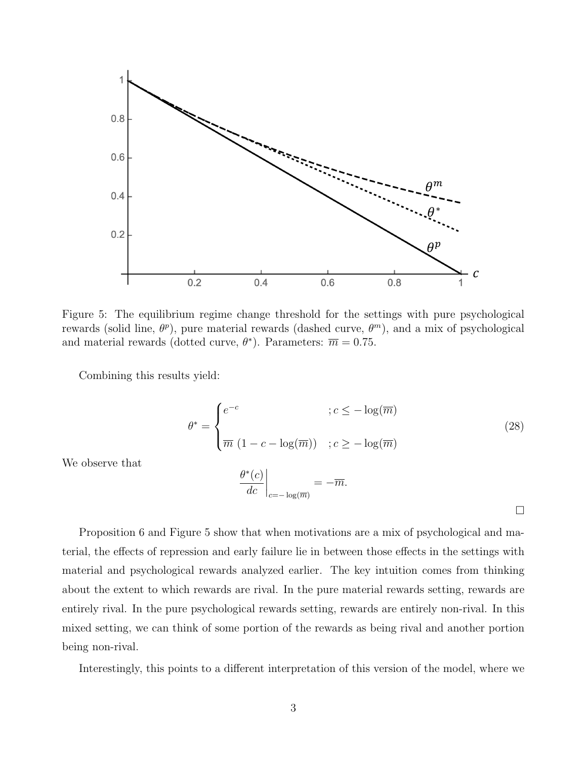

Figure 5: The equilibrium regime change threshold for the settings with pure psychological rewards (solid line,  $\theta^p$ ), pure material rewards (dashed curve,  $\theta^m$ ), and a mix of psychological and material rewards (dotted curve,  $\theta^*$ ). Parameters:  $\overline{m} = 0.75$ .

Combining this results yield:

$$
\theta^* = \begin{cases} e^{-c} & \text{if } c \le -\log(\overline{m}) \\ \overline{m} \left(1 - c - \log(\overline{m})\right) & \text{if } c \ge -\log(\overline{m}) \end{cases} \tag{28}
$$

We observe that

$$
\left. \frac{\theta^*(c)}{dc} \right|_{c=-\log(\overline{m})} = -\overline{m}.
$$

 $\Box$ 

Proposition 6 and Figure 5 show that when motivations are a mix of psychological and material, the effects of repression and early failure lie in between those effects in the settings with material and psychological rewards analyzed earlier. The key intuition comes from thinking about the extent to which rewards are rival. In the pure material rewards setting, rewards are entirely rival. In the pure psychological rewards setting, rewards are entirely non-rival. In this mixed setting, we can think of some portion of the rewards as being rival and another portion being non-rival.

Interestingly, this points to a different interpretation of this version of the model, where we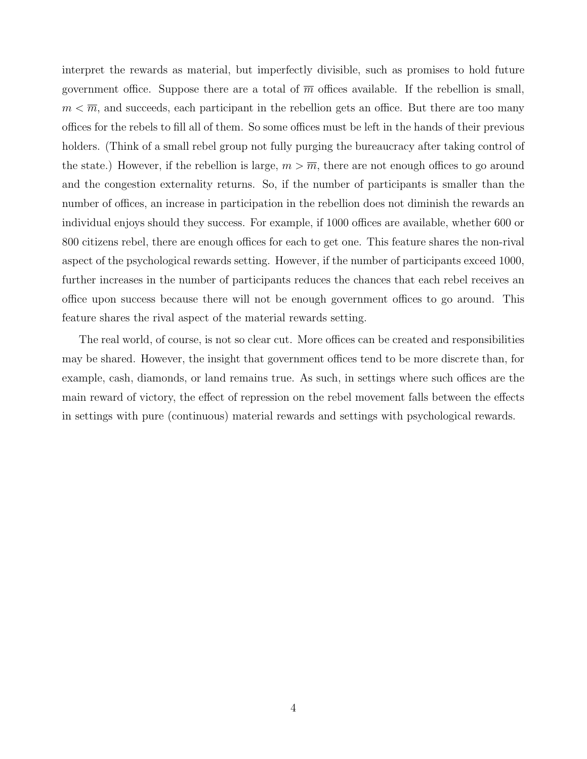interpret the rewards as material, but imperfectly divisible, such as promises to hold future government office. Suppose there are a total of  $\overline{m}$  offices available. If the rebellion is small,  $m < \overline{m}$ , and succeeds, each participant in the rebellion gets an office. But there are too many offices for the rebels to fill all of them. So some offices must be left in the hands of their previous holders. (Think of a small rebel group not fully purging the bureaucracy after taking control of the state.) However, if the rebellion is large,  $m > \overline{m}$ , there are not enough offices to go around and the congestion externality returns. So, if the number of participants is smaller than the number of offices, an increase in participation in the rebellion does not diminish the rewards an individual enjoys should they success. For example, if 1000 offices are available, whether 600 or 800 citizens rebel, there are enough offices for each to get one. This feature shares the non-rival aspect of the psychological rewards setting. However, if the number of participants exceed 1000, further increases in the number of participants reduces the chances that each rebel receives an office upon success because there will not be enough government offices to go around. This feature shares the rival aspect of the material rewards setting.

The real world, of course, is not so clear cut. More offices can be created and responsibilities may be shared. However, the insight that government offices tend to be more discrete than, for example, cash, diamonds, or land remains true. As such, in settings where such offices are the main reward of victory, the effect of repression on the rebel movement falls between the effects in settings with pure (continuous) material rewards and settings with psychological rewards.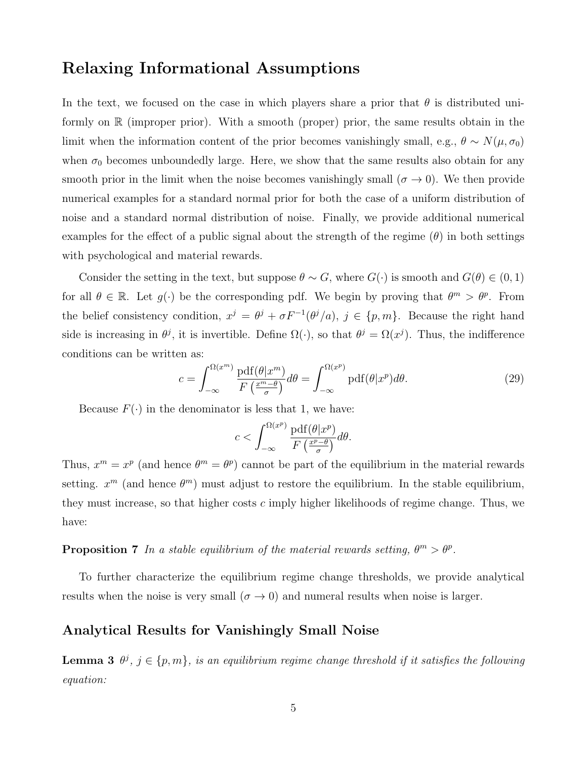# Relaxing Informational Assumptions

In the text, we focused on the case in which players share a prior that  $\theta$  is distributed uniformly on R (improper prior). With a smooth (proper) prior, the same results obtain in the limit when the information content of the prior becomes vanishingly small, e.g.,  $\theta \sim N(\mu, \sigma_0)$ when  $\sigma_0$  becomes unboundedly large. Here, we show that the same results also obtain for any smooth prior in the limit when the noise becomes vanishingly small  $(\sigma \to 0)$ . We then provide numerical examples for a standard normal prior for both the case of a uniform distribution of noise and a standard normal distribution of noise. Finally, we provide additional numerical examples for the effect of a public signal about the strength of the regime  $(\theta)$  in both settings with psychological and material rewards.

Consider the setting in the text, but suppose  $\theta \sim G$ , where  $G(\cdot)$  is smooth and  $G(\theta) \in (0,1)$ for all  $\theta \in \mathbb{R}$ . Let  $g(\cdot)$  be the corresponding pdf. We begin by proving that  $\theta^m > \theta^p$ . From the belief consistency condition,  $x^j = \theta^j + \sigma F^{-1}(\theta^j/a)$ ,  $j \in \{p, m\}$ . Because the right hand side is increasing in  $\theta^j$ , it is invertible. Define  $\Omega(\cdot)$ , so that  $\theta^j = \Omega(x^j)$ . Thus, the indifference conditions can be written as:

$$
c = \int_{-\infty}^{\Omega(x^m)} \frac{\text{pdf}(\theta | x^m)}{F\left(\frac{x^m - \theta}{\sigma}\right)} d\theta = \int_{-\infty}^{\Omega(x^p)} \text{pdf}(\theta | x^p) d\theta. \tag{29}
$$

Because  $F(\cdot)$  in the denominator is less that 1, we have:

$$
c < \int_{-\infty}^{\Omega(x^p)} \frac{\text{pdf}(\theta|x^p)}{F\left(\frac{x^p - \theta}{\sigma}\right)} d\theta.
$$

Thus,  $x^m = x^p$  (and hence  $\theta^m = \theta^p$ ) cannot be part of the equilibrium in the material rewards setting.  $x^m$  (and hence  $\theta^m$ ) must adjust to restore the equilibrium. In the stable equilibrium, they must increase, so that higher costs  $c$  imply higher likelihoods of regime change. Thus, we have:

## **Proposition 7** In a stable equilibrium of the material rewards setting,  $\theta^m > \theta^p$ .

To further characterize the equilibrium regime change thresholds, we provide analytical results when the noise is very small  $(\sigma \to 0)$  and numeral results when noise is larger.

### Analytical Results for Vanishingly Small Noise

**Lemma 3**  $\theta^j$ ,  $j \in \{p, m\}$ , is an equilibrium regime change threshold if it satisfies the following equation: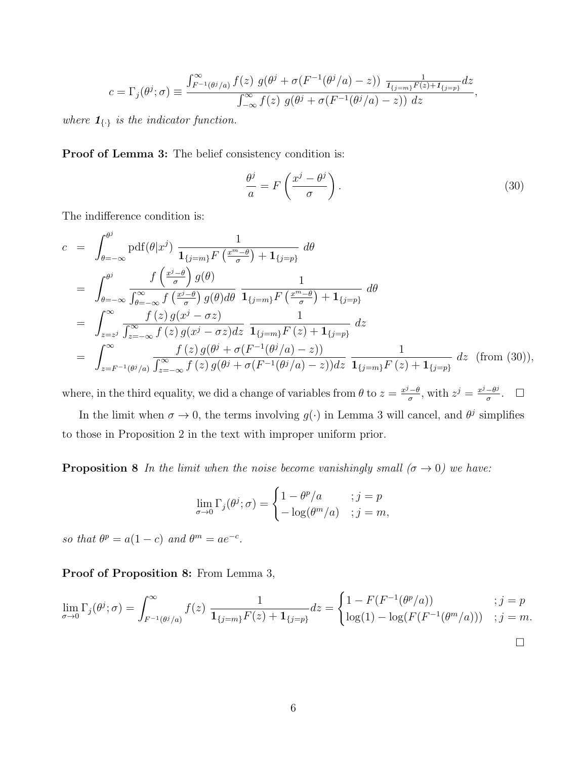$$
c = \Gamma_j(\theta^j; \sigma) \equiv \frac{\int_{F^{-1}(\theta^j/a)}^{\infty} f(z) g(\theta^j + \sigma(F^{-1}(\theta^j/a) - z)) \frac{1}{I_{\{j=m\}}F(z) + I_{\{j=p\}}} dz}{\int_{-\infty}^{\infty} f(z) g(\theta^j + \sigma(F^{-1}(\theta^j/a) - z)) dz},
$$

where  $\mathbf{1}_{\{.\}}$  is the indicator function.

Proof of Lemma 3: The belief consistency condition is:

$$
\frac{\theta^j}{a} = F\left(\frac{x^j - \theta^j}{\sigma}\right). \tag{30}
$$

The indifference condition is:

$$
c = \int_{\theta=-\infty}^{\theta^{j}} \text{pdf}(\theta|x^{j}) \frac{1}{\mathbf{1}_{\{j=m\} } F\left(\frac{x^{m}-\theta}{\sigma}\right) + \mathbf{1}_{\{j=p\}}}\, d\theta
$$
\n
$$
= \int_{\theta=-\infty}^{\theta^{j}} \frac{f\left(\frac{x^{j}-\theta}{\sigma}\right) g(\theta)}{\int_{\theta=-\infty}^{\infty} f\left(\frac{x^{j}-\theta}{\sigma}\right) g(\theta) d\theta} \frac{1}{\mathbf{1}_{\{j=m\} } F\left(\frac{x^{m}-\theta}{\sigma}\right) + \mathbf{1}_{\{j=p\}}}\, d\theta
$$
\n
$$
= \int_{z=z^{j}}^{\infty} \frac{f(z) g(x^{j}-\sigma z)}{\int_{z=-\infty}^{\infty} f(z) g(x^{j}-\sigma z) dz} \frac{1}{\mathbf{1}_{\{j=m\} } F\left(z\right) + \mathbf{1}_{\{j=p\}}}\, dz
$$
\n
$$
= \int_{z=F^{-1}(\theta^{j}/a)}^{\infty} \frac{f(z) g(\theta^{j} + \sigma(F^{-1}(\theta^{j}/a) - z))}{\int_{z=-\infty}^{\infty} f(z) g(\theta^{j} + \sigma(F^{-1}(\theta^{j}/a) - z)) dz} \frac{1}{\mathbf{1}_{\{j=m\} } F\left(z\right) + \mathbf{1}_{\{j=p\}}}\, dz \quad \text{(from (30))},
$$

where, in the third equality, we did a change of variables from  $\theta$  to  $z = \frac{x^j - \theta}{\sigma}$  $\frac{\partial^i - \theta}{\partial \sigma^j}$ , with  $z^j = \frac{x^j - \theta^j}{\sigma^j}$  $\frac{-\theta^j}{\sigma}$ .  $\Box$ 

In the limit when  $\sigma \to 0$ , the terms involving  $g(\cdot)$  in Lemma 3 will cancel, and  $\theta^j$  simplifies to those in Proposition 2 in the text with improper uniform prior.

**Proposition 8** In the limit when the noise become vanishingly small ( $\sigma \rightarrow 0$ ) we have:

$$
\lim_{\sigma \to 0} \Gamma_j(\theta^j; \sigma) = \begin{cases} 1 - \theta^p / a & ; j = p \\ -\log(\theta^m / a) & ; j = m, \end{cases}
$$

so that  $\theta^p = a(1-c)$  and  $\theta^m = ae^{-c}$ .

Proof of Proposition 8: From Lemma 3,

$$
\lim_{\sigma \to 0} \Gamma_j(\theta^j; \sigma) = \int_{F^{-1}(\theta^j/a)}^{\infty} f(z) \frac{1}{\mathbf{1}_{\{j=m\}} F(z) + \mathbf{1}_{\{j=p\}}} dz = \begin{cases} 1 - F(F^{-1}(\theta^p/a)) & ; j = p \\ \log(1) - \log(F(F^{-1}(\theta^m/a))) & ; j = m. \end{cases}
$$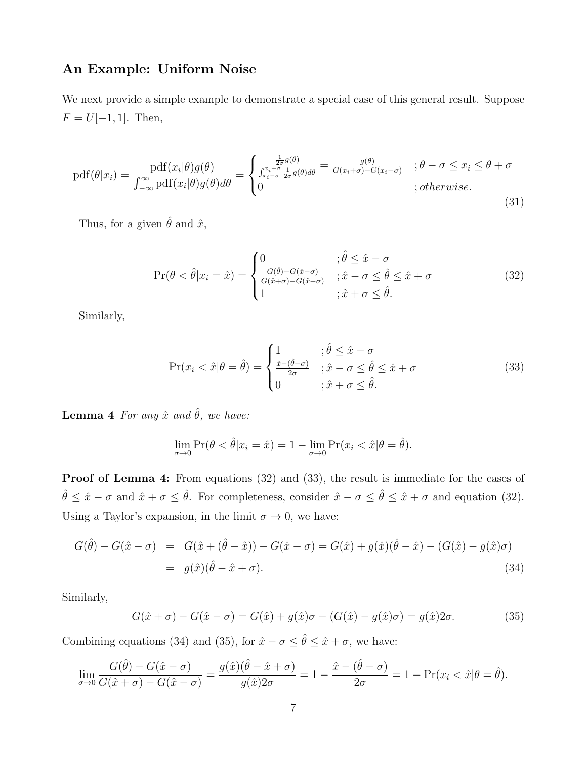## An Example: Uniform Noise

We next provide a simple example to demonstrate a special case of this general result. Suppose  $F = U[-1, 1]$ . Then,

$$
pdf(\theta|x_i) = \frac{pdf(x_i|\theta)g(\theta)}{\int_{-\infty}^{\infty} pdf(x_i|\theta)g(\theta)d\theta} = \begin{cases} \frac{\frac{1}{2\sigma}g(\theta)}{\int_{x_i-\sigma}^{x_i+\sigma} \frac{1}{2\sigma}g(\theta)d\theta} = \frac{g(\theta)}{G(x_i+\sigma)-G(x_i-\sigma)} & ; \theta-\sigma \leq x_i \leq \theta+\sigma\\ 0 & ; otherwise. \end{cases}
$$
(31)

Thus, for a given  $\hat{\theta}$  and  $\hat{x}$ ,

$$
\Pr(\theta < \hat{\theta}|x_i = \hat{x}) = \begin{cases} 0 & \text{if } \hat{\theta} \leq \hat{x} - \sigma \\ \frac{G(\hat{\theta}) - G(\hat{x} - \sigma)}{G(\hat{x} + \sigma) - G(\hat{x} - \sigma)} & \text{if } \hat{x} - \sigma \leq \hat{\theta} \leq \hat{x} + \sigma \\ 1 & \text{if } \hat{x} + \sigma \leq \hat{\theta}. \end{cases} \tag{32}
$$

Similarly,

$$
\Pr(x_i < \hat{x}|\theta = \hat{\theta}) = \begin{cases} 1 & ; \hat{\theta} \le \hat{x} - \sigma \\ \frac{\hat{x} - (\hat{\theta} - \sigma)}{2\sigma} & ; \hat{x} - \sigma \le \hat{\theta} \le \hat{x} + \sigma \\ 0 & ; \hat{x} + \sigma \le \hat{\theta}. \end{cases} \tag{33}
$$

Lemma 4 For any  $\hat{x}$  and  $\hat{\theta}$ , we have:

$$
\lim_{\sigma \to 0} \Pr(\theta < \hat{\theta}|x_i = \hat{x}) = 1 - \lim_{\sigma \to 0} \Pr(x_i < \hat{x}|\theta = \hat{\theta}).
$$

Proof of Lemma 4: From equations (32) and (33), the result is immediate for the cases of  $\hat{\theta} \leq \hat{x} - \sigma$  and  $\hat{x} + \sigma \leq \hat{\theta}$ . For completeness, consider  $\hat{x} - \sigma \leq \hat{\theta} \leq \hat{x} + \sigma$  and equation (32). Using a Taylor's expansion, in the limit  $\sigma \to 0$ , we have:

$$
G(\hat{\theta}) - G(\hat{x} - \sigma) = G(\hat{x} + (\hat{\theta} - \hat{x})) - G(\hat{x} - \sigma) = G(\hat{x}) + g(\hat{x})(\hat{\theta} - \hat{x}) - (G(\hat{x}) - g(\hat{x})\sigma)
$$
  
=  $g(\hat{x})(\hat{\theta} - \hat{x} + \sigma).$  (34)

Similarly,

$$
G(\hat{x} + \sigma) - G(\hat{x} - \sigma) = G(\hat{x}) + g(\hat{x})\sigma - (G(\hat{x}) - g(\hat{x})\sigma) = g(\hat{x})2\sigma.
$$
\n(35)

Combining equations (34) and (35), for  $\hat{x} - \sigma \leq \hat{\theta} \leq \hat{x} + \sigma$ , we have:

$$
\lim_{\sigma \to 0} \frac{G(\hat{\theta}) - G(\hat{x} - \sigma)}{G(\hat{x} + \sigma) - G(\hat{x} - \sigma)} = \frac{g(\hat{x})(\hat{\theta} - \hat{x} + \sigma)}{g(\hat{x})2\sigma} = 1 - \frac{\hat{x} - (\hat{\theta} - \sigma)}{2\sigma} = 1 - \Pr(x_i < \hat{x} | \theta = \hat{\theta}).
$$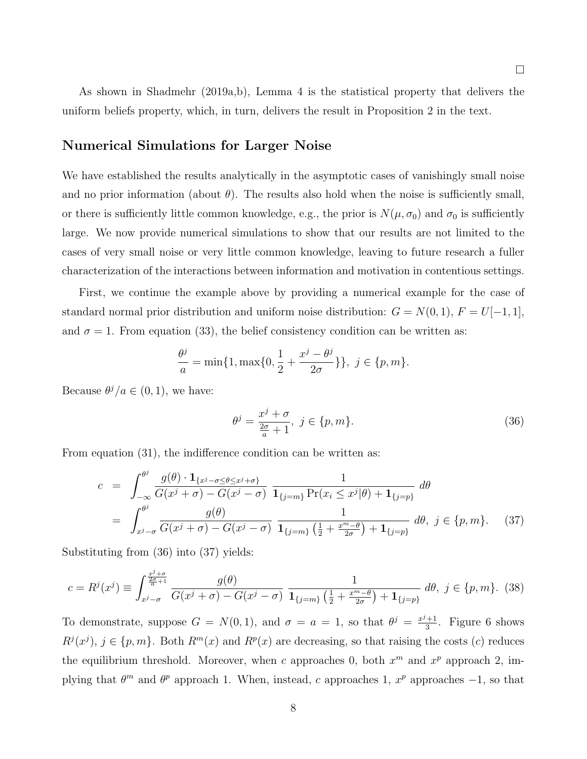As shown in Shadmehr (2019a,b), Lemma 4 is the statistical property that delivers the uniform beliefs property, which, in turn, delivers the result in Proposition 2 in the text.

### Numerical Simulations for Larger Noise

We have established the results analytically in the asymptotic cases of vanishingly small noise and no prior information (about  $\theta$ ). The results also hold when the noise is sufficiently small, or there is sufficiently little common knowledge, e.g., the prior is  $N(\mu, \sigma_0)$  and  $\sigma_0$  is sufficiently large. We now provide numerical simulations to show that our results are not limited to the cases of very small noise or very little common knowledge, leaving to future research a fuller characterization of the interactions between information and motivation in contentious settings.

First, we continue the example above by providing a numerical example for the case of standard normal prior distribution and uniform noise distribution:  $G = N(0, 1), F = U[-1, 1],$ and  $\sigma = 1$ . From equation (33), the belief consistency condition can be written as:

$$
\frac{\theta^{j}}{a} = \min\{1, \max\{0, \frac{1}{2} + \frac{x^{j} - \theta^{j}}{2\sigma}\}\}, \ j \in \{p, m\}.
$$

Because  $\theta^j/a \in (0,1)$ , we have:

$$
\theta^j = \frac{x^j + \sigma}{\frac{2\sigma}{a} + 1}, \ j \in \{p, m\}.
$$
\n(36)

From equation  $(31)$ , the indifference condition can be written as:

$$
c = \int_{-\infty}^{\theta^j} \frac{g(\theta) \cdot \mathbf{1}_{\{x^j - \sigma \le \theta \le x^j + \sigma\}}}{G(x^j + \sigma) - G(x^j - \sigma)} \frac{1}{\mathbf{1}_{\{j=m\}} \Pr(x_i \le x^j | \theta) + \mathbf{1}_{\{j=p\}}} d\theta
$$
  
= 
$$
\int_{x^j - \sigma}^{\theta^j} \frac{g(\theta)}{G(x^j + \sigma) - G(x^j - \sigma)} \frac{1}{\mathbf{1}_{\{j=m\}} \left(\frac{1}{2} + \frac{x^m - \theta}{2\sigma}\right) + \mathbf{1}_{\{j=p\}}} d\theta, \ j \in \{p, m\}. \tag{37}
$$

Substituting from (36) into (37) yields:

$$
c = R^{j}(x^{j}) \equiv \int_{x^{j} - \sigma}^{\frac{x^{j} + \sigma}{2\sigma + 1}} \frac{g(\theta)}{G(x^{j} + \sigma) - G(x^{j} - \sigma)} \frac{1}{\mathbf{1}_{\{j = m\}}\left(\frac{1}{2} + \frac{x^{m} - \theta}{2\sigma}\right) + \mathbf{1}_{\{j = p\}}}\,d\theta, \ j \in \{p, m\}.\tag{38}
$$

To demonstrate, suppose  $G = N(0, 1)$ , and  $\sigma = a = 1$ , so that  $\theta^{j} = \frac{x^{j}+1}{3}$  $\frac{+1}{3}$ . Figure 6 shows  $R^j(x^j), j \in \{p, m\}$ . Both  $R^m(x)$  and  $R^p(x)$  are decreasing, so that raising the costs (c) reduces the equilibrium threshold. Moreover, when c approaches 0, both  $x^m$  and  $x^p$  approach 2, implying that  $\theta^m$  and  $\theta^p$  approach 1. When, instead, c approaches 1,  $x^p$  approaches  $-1$ , so that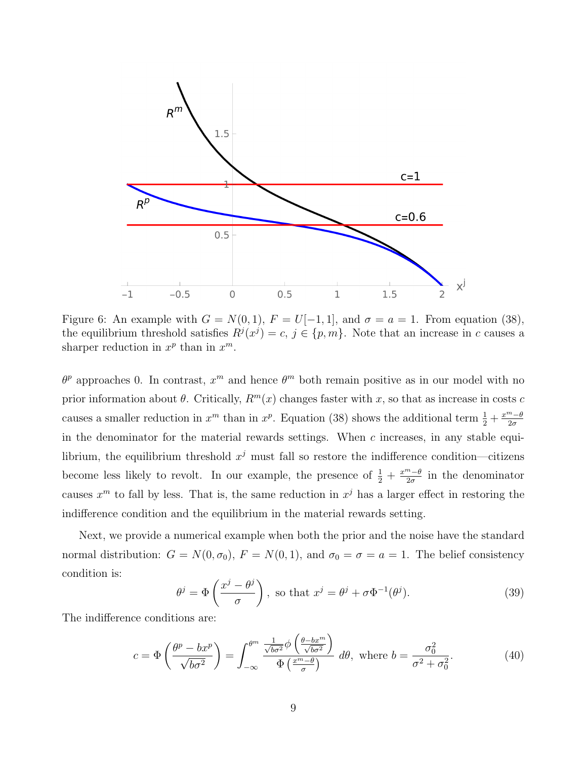

Figure 6: An example with  $G = N(0, 1)$ ,  $F = U[-1, 1]$ , and  $\sigma = a = 1$ . From equation (38), the equilibrium threshold satisfies  $R^{j}(x^{j}) = c, j \in \{p, m\}$ . Note that an increase in c causes a sharper reduction in  $x^p$  than in  $x^m$ .

 $\theta^p$  approaches 0. In contrast,  $x^m$  and hence  $\theta^m$  both remain positive as in our model with no prior information about  $\theta$ . Critically,  $R^m(x)$  changes faster with x, so that as increase in costs c causes a smaller reduction in  $x^m$  than in  $x^p$ . Equation (38) shows the additional term  $\frac{1}{2} + \frac{x^m - \theta}{2\sigma}$  $2\sigma$ in the denominator for the material rewards settings. When  $c$  increases, in any stable equilibrium, the equilibrium threshold  $x^j$  must fall so restore the indifference condition—citizens become less likely to revolt. In our example, the presence of  $\frac{1}{2} + \frac{x^m - \theta}{2\sigma}$  $\frac{n-\theta}{2\sigma}$  in the denominator causes  $x^m$  to fall by less. That is, the same reduction in  $x^j$  has a larger effect in restoring the indifference condition and the equilibrium in the material rewards setting.

Next, we provide a numerical example when both the prior and the noise have the standard normal distribution:  $G = N(0, \sigma_0)$ ,  $F = N(0, 1)$ , and  $\sigma_0 = \sigma = a = 1$ . The belief consistency condition is:

$$
\theta^{j} = \Phi\left(\frac{x^{j} - \theta^{j}}{\sigma}\right), \text{ so that } x^{j} = \theta^{j} + \sigma \Phi^{-1}(\theta^{j}).
$$
 (39)

The indifference conditions are:

$$
c = \Phi\left(\frac{\theta^p - bx^p}{\sqrt{b\sigma^2}}\right) = \int_{-\infty}^{\theta^m} \frac{\frac{1}{\sqrt{b\sigma^2}} \phi\left(\frac{\theta - bx^m}{\sqrt{b\sigma^2}}\right)}{\Phi\left(\frac{x^m - \theta}{\sigma}\right)} d\theta, \text{ where } b = \frac{\sigma_0^2}{\sigma^2 + \sigma_0^2}.
$$
 (40)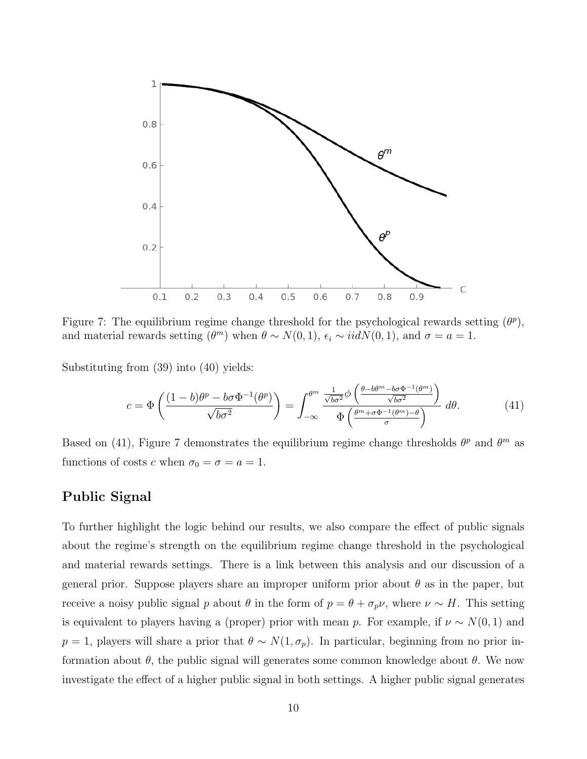

Figure 7: The equilibrium regime change threshold for the psychological rewards setting  $(\theta^p)$ , and material rewards setting  $(\theta^m)$  when  $\theta \sim N(0, 1)$ ,  $\epsilon_i \sim \text{iid}N(0, 1)$ , and  $\sigma = a = 1$ .

Substituting from (39) into (40) yields:

$$
c = \Phi\left(\frac{(1-b)\theta^p - b\sigma\Phi^{-1}(\theta^p)}{\sqrt{b\sigma^2}}\right) = \int_{-\infty}^{\theta^m} \frac{\frac{1}{\sqrt{b\sigma^2}}\phi\left(\frac{\theta - b\theta^m - b\sigma\Phi^{-1}(\theta^m)}{\sqrt{b\sigma^2}}\right)}{\Phi\left(\frac{\theta^m + \sigma\Phi^{-1}(\theta^m) - \theta}{\sigma}\right)} d\theta. \tag{41}
$$

Based on (41), Figure 7 demonstrates the equilibrium regime change thresholds  $\theta^p$  and  $\theta^m$  as functions of costs c when  $\sigma_0 = \sigma = a = 1$ .

## Public Signal

To further highlight the logic behind our results, we also compare the effect of public signals about the regime's strength on the equilibrium regime change threshold in the psychological and material rewards settings. There is a link between this analysis and our discussion of a general prior. Suppose players share an improper uniform prior about  $\theta$  as in the paper, but receive a noisy public signal p about  $\theta$  in the form of  $p = \theta + \sigma_p \nu$ , where  $\nu \sim H$ . This setting is equivalent to players having a (proper) prior with mean p. For example, if  $\nu \sim N(0, 1)$  and  $p = 1$ , players will share a prior that  $\theta \sim N(1, \sigma_p)$ . In particular, beginning from no prior information about  $\theta$ , the public signal will generates some common knowledge about  $\theta$ . We now investigate the effect of a higher public signal in both settings. A higher public signal generates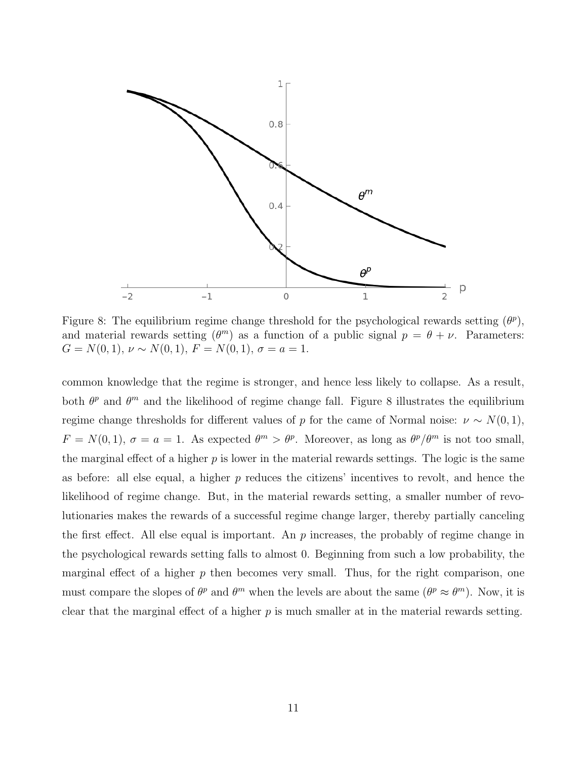

Figure 8: The equilibrium regime change threshold for the psychological rewards setting  $(\theta^p)$ , and material rewards setting  $(\theta^m)$  as a function of a public signal  $p = \theta + \nu$ . Parameters:  $G = N(0, 1), \nu \sim N(0, 1), F = N(0, 1), \sigma = a = 1.$ 

common knowledge that the regime is stronger, and hence less likely to collapse. As a result, both  $\theta^p$  and  $\theta^m$  and the likelihood of regime change fall. Figure 8 illustrates the equilibrium regime change thresholds for different values of p for the came of Normal noise:  $\nu \sim N(0, 1)$ ,  $F = N(0, 1), \sigma = a = 1$ . As expected  $\theta^m > \theta^p$ . Moreover, as long as  $\theta^p/\theta^m$  is not too small, the marginal effect of a higher  $p$  is lower in the material rewards settings. The logic is the same as before: all else equal, a higher  $p$  reduces the citizens' incentives to revolt, and hence the likelihood of regime change. But, in the material rewards setting, a smaller number of revolutionaries makes the rewards of a successful regime change larger, thereby partially canceling the first effect. All else equal is important. An  $p$  increases, the probably of regime change in the psychological rewards setting falls to almost 0. Beginning from such a low probability, the marginal effect of a higher  $p$  then becomes very small. Thus, for the right comparison, one must compare the slopes of  $\theta^p$  and  $\theta^m$  when the levels are about the same  $(\theta^p \approx \theta^m)$ . Now, it is clear that the marginal effect of a higher  $p$  is much smaller at in the material rewards setting.